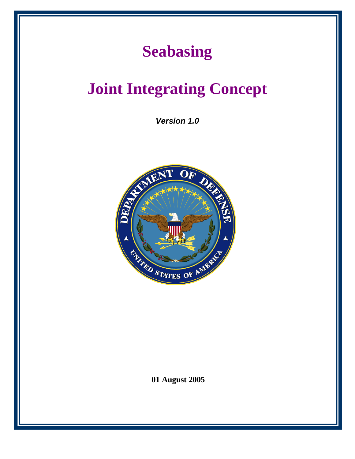## **Seabasing**

# **Joint Integrating Concept**

*Version 1.0*



**01 August 2005**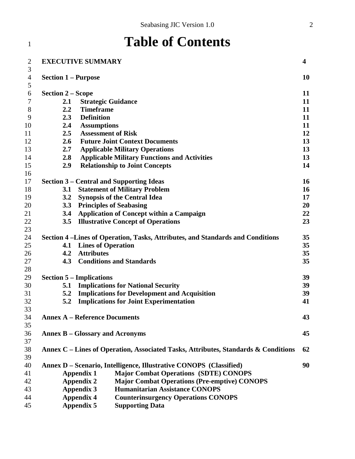#### **Table of Contents EXECUTIVE SUMMARY 4 Section 1 – Purpose 10 Section 2 – Scope 11 2.1 Strategic Guidance 11 2.2 Timeframe 11 2.3 Definition 11 2.4 Assumptions 11 2.5 Assessment of Risk 12 2.6 Future Joint Context Documents 13 2.7 Applicable Military Operations 13 2.8 Applicable Military Functions and Activities 13 2.9 Relationship to Joint Concepts 14 Section 3 – Central and Supporting Ideas 16 3.1 Statement of Military Problem 16 3.2 Synopsis of the Central Idea 17 3.3 Principles of Seabasing 20 3.4 Application of Concept within a Campaign 22 3.5 Illustrative Concept of Operations 23 Section 4 –Lines of Operation, Tasks, Attributes, and Standards and Conditions 35 4.1 Lines of Operation 35 4.2 Attributes 35 4.3 Conditions and Standards 35 Section 5 – Implications 39 5.1 Implications for National Security 39 5.2 Implications for Development and Acquisition 39 5.2 Implications for Joint Experimentation 41 Annex A – Reference Documents 43 Annex B – Glossary and Acronyms 45 Annex C – Lines of Operation, Associated Tasks, Attributes, Standards & Conditions 62 Annex D – Scenario, Intelligence, Illustrative CONOPS (Classified) 90 Appendix 1 Major Combat Operations (SDTE) CONOPS Appendix 2 Major Combat Operations (Pre-emptive) CONOPS Appendix 3 Humanitarian Assistance CONOPS Appendix 4 Counterinsurgency Operations CONOPS Appendix 5 Supporting Data**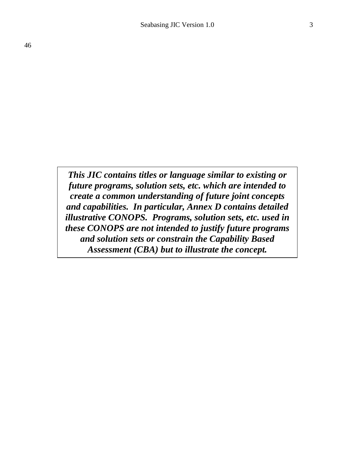*This JIC contains titles or language similar to existing or future programs, solution sets, etc. which are intended to create a common understanding of future joint concepts and capabilities. In particular, Annex D contains detailed illustrative CONOPS. Programs, solution sets, etc. used in these CONOPS are not intended to justify future programs and solution sets or constrain the Capability Based Assessment (CBA) but to illustrate the concept.*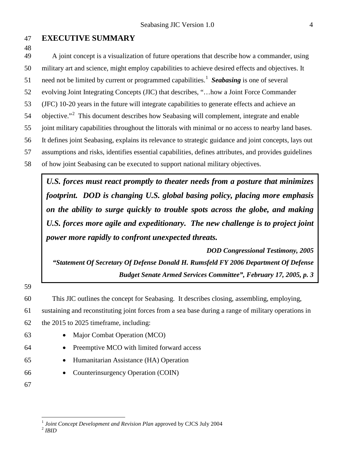#### **EXECUTIVE SUMMARY**

A joint concept is a visualization of future operations that describe how a commander, using

military art and science, might employ capabilities to achieve desired effects and objectives. It

[1](#page-3-0) need not be limited by current or programmed capabilities.<sup>1</sup> Seabasing is one of several

evolving Joint Integrating Concepts (JIC) that describes, "…how a Joint Force Commander

(JFC) 10-20 years in the future will integrate capabilities to generate effects and achieve an

54 objective."<sup>[2](#page-3-1)</sup> This document describes how Seabasing will complement, integrate and enable

joint military capabilities throughout the littorals with minimal or no access to nearby land bases.

It defines joint Seabasing, explains its relevance to strategic guidance and joint concepts, lays out

assumptions and risks, identifies essential capabilities, defines attributes, and provides guidelines

of how joint Seabasing can be executed to support national military objectives.

*U.S. forces must react promptly to theater needs from a posture that minimizes footprint. DOD is changing U.S. global basing policy, placing more emphasis on the ability to surge quickly to trouble spots across the globe, and making U.S. forces more agile and expeditionary. The new challenge is to project joint power more rapidly to confront unexpected threats.*

*DOD Congressional Testimony, 2005 "Statement Of Secretary Of Defense Donald H. Rumsfeld FY 2006 Department Of Defense Budget Senate Armed Services Committee", February 17, 2005, p. 3*

This JIC outlines the concept for Seabasing. It describes closing, assembling, employing,

sustaining and reconstituting joint forces from a sea base during a range of military operations in

the 2015 to 2025 timeframe, including:

- 
- Major Combat Operation (MCO)
- Preemptive MCO with limited forward access
- Humanitarian Assistance (HA) Operation
- Counterinsurgency Operation (COIN)
- 

<span id="page-3-1"></span><span id="page-3-0"></span><sup>&</sup>lt;sup>1</sup> *Joint Concept Development and Revision Plan* approved by CJCS July 2004<sup>2</sup> *IRID*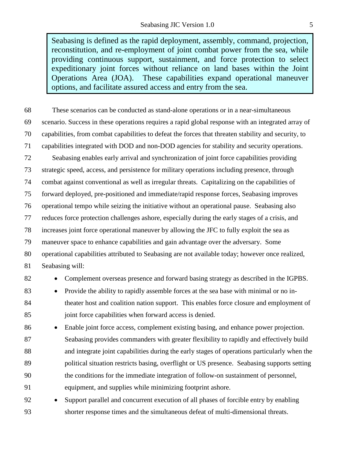Seabasing is defined as the rapid deployment, assembly, command, projection, reconstitution, and re-employment of joint combat power from the sea, while providing continuous support, sustainment, and force protection to select expeditionary joint forces without reliance on land bases within the Joint Operations Area (JOA). These capabilities expand operational maneuver options, and facilitate assured access and entry from the sea.

 These scenarios can be conducted as stand-alone operations or in a near-simultaneous scenario. Success in these operations requires a rapid global response with an integrated array of capabilities, from combat capabilities to defeat the forces that threaten stability and security, to capabilities integrated with DOD and non-DOD agencies for stability and security operations. Seabasing enables early arrival and synchronization of joint force capabilities providing strategic speed, access, and persistence for military operations including presence, through combat against conventional as well as irregular threats. Capitalizing on the capabilities of forward deployed, pre-positioned and immediate/rapid response forces, Seabasing improves operational tempo while seizing the initiative without an operational pause. Seabasing also reduces force protection challenges ashore, especially during the early stages of a crisis, and increases joint force operational maneuver by allowing the JFC to fully exploit the sea as maneuver space to enhance capabilities and gain advantage over the adversary. Some operational capabilities attributed to Seabasing are not available today; however once realized, Seabasing will: 82 • Complement overseas presence and forward basing strategy as described in the IGPBS. • Provide the ability to rapidly assemble forces at the sea base with minimal or no in- theater host and coalition nation support. This enables force closure and employment of 85 joint force capabilities when forward access is denied. • Enable joint force access, complement existing basing, and enhance power projection. Seabasing provides commanders with greater flexibility to rapidly and effectively build and integrate joint capabilities during the early stages of operations particularly when the political situation restricts basing, overflight or US presence. Seabasing supports setting the conditions for the immediate integration of follow-on sustainment of personnel, equipment, and supplies while minimizing footprint ashore. • Support parallel and concurrent execution of all phases of forcible entry by enabling

shorter response times and the simultaneous defeat of multi-dimensional threats.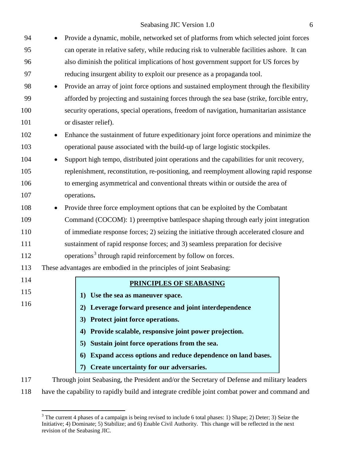| 94  |           | Provide a dynamic, mobile, networked set of platforms from which selected joint forces      |  |
|-----|-----------|---------------------------------------------------------------------------------------------|--|
| 95  |           | can operate in relative safety, while reducing risk to vulnerable facilities ashore. It can |  |
| 96  |           | also diminish the political implications of host government support for US forces by        |  |
| 97  |           | reducing insurgent ability to exploit our presence as a propaganda tool.                    |  |
| 98  |           | Provide an array of joint force options and sustained employment through the flexibility    |  |
| 99  |           | afforded by projecting and sustaining forces through the sea base (strike, forcible entry,  |  |
| 100 |           | security operations, special operations, freedom of navigation, humanitarian assistance     |  |
| 101 |           | or disaster relief).                                                                        |  |
| 102 | $\bullet$ | Enhance the sustainment of future expeditionary joint force operations and minimize the     |  |
| 103 |           | operational pause associated with the build-up of large logistic stockpiles.                |  |
| 104 |           | Support high tempo, distributed joint operations and the capabilities for unit recovery,    |  |
| 105 |           | replenishment, reconstitution, re-positioning, and reemployment allowing rapid response     |  |
| 106 |           | to emerging asymmetrical and conventional threats within or outside the area of             |  |
| 107 |           | operations.                                                                                 |  |
| 108 |           | Provide three force employment options that can be exploited by the Combatant               |  |
| 109 |           | Command (COCOM): 1) preemptive battlespace shaping through early joint integration          |  |
| 110 |           | of immediate response forces; 2) seizing the initiative through accelerated closure and     |  |
| 111 |           | sustainment of rapid response forces; and 3) seamless preparation for decisive              |  |
| 112 |           | operations <sup>3</sup> through rapid reinforcement by follow on forces.                    |  |
| 113 |           | These advantages are embodied in the principles of joint Seabasing:                         |  |
| 114 |           | <b>PRINCIPLES OF SEABASING</b>                                                              |  |
| 115 |           | 1) Use the sea as maneuver space.                                                           |  |
| 116 |           | Leverage forward presence and joint interdependence<br>2)                                   |  |
|     |           | Protect joint force operations.<br>3)                                                       |  |
|     |           | Provide scalable, responsive joint power projection.<br>4)                                  |  |
|     |           | Sustain joint force operations from the sea.<br>5)                                          |  |
|     |           | Expand access options and reduce dependence on land bases.<br>6)                            |  |
|     |           | Create uncertainty for our adversaries.                                                     |  |
|     |           |                                                                                             |  |
| 117 |           | Through joint Seabasing, the President and/or the Secretary of Defense and military leaders |  |

<span id="page-5-0"></span>118 have the capability to rapidly build and integrate credible joint combat power and command and

<sup>&</sup>lt;sup>3</sup> The current 4 phases of a campaign is being revised to include 6 total phases: 1) Shape; 2) Deter; 3) Seize the Initiative; 4) Dominate; 5) Stabilize; and 6) Enable Civil Authority. This change will be reflected in the next revision of the Seabasing JIC.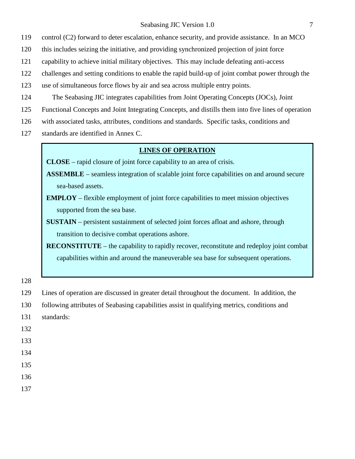control (C2) forward to deter escalation, enhance security, and provide assistance. In an MCO

- this includes seizing the initiative, and providing synchronized projection of joint force
- capability to achieve initial military objectives. This may include defeating anti-access
- challenges and setting conditions to enable the rapid build-up of joint combat power through the
- use of simultaneous force flows by air and sea across multiple entry points.
- The Seabasing JIC integrates capabilities from Joint Operating Concepts (JOCs), Joint
- Functional Concepts and Joint Integrating Concepts, and distills them into five lines of operation
- with associated tasks, attributes, conditions and standards. Specific tasks, conditions and
- standards are identified in Annex C.

#### **LINES OF OPERATION**

- **CLOSE** rapid closure of joint force capability to an area of crisis.
- **ASSEMBLE** seamless integration of scalable joint force capabilities on and around secure sea-based assets.
- **EMPLOY** flexible employment of joint force capabilities to meet mission objectives supported from the sea base.
- **SUSTAIN** persistent sustainment of selected joint forces afloat and ashore, through transition to decisive combat operations ashore.
- **RECONSTITUTE** the capability to rapidly recover, reconstitute and redeploy joint combat capabilities within and around the maneuverable sea base for subsequent operations.

- Lines of operation are discussed in greater detail throughout the document. In addition, the
- following attributes of Seabasing capabilities assist in qualifying metrics, conditions and
- standards:
- 
- 
- 
- 
- 
-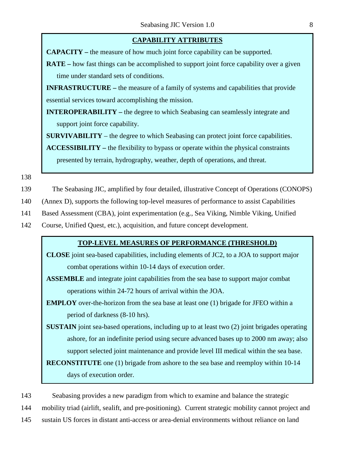#### **CAPABILITY ATTRIBUTES**

**CAPACITY –** the measure of how much joint force capability can be supported.

**RATE** – how fast things can be accomplished to support joint force capability over a given time under standard sets of conditions.

**INFRASTRUCTURE** – the measure of a family of systems and capabilities that provide essential services toward accomplishing the mission.

**INTEROPERABILITY –** the degree to which Seabasing can seamlessly integrate and support joint force capability.

**SURVIVABILITY** – the degree to which Seabasing can protect joint force capabilities.

**ACCESSIBILITY –** the flexibility to bypass or operate within the physical constraints presented by terrain, hydrography, weather, depth of operations, and threat.

138

- 139 The Seabasing JIC, amplified by four detailed, illustrative Concept of Operations (CONOPS)
- 140 (Annex D), supports the following top-level measures of performance to assist Capabilities
- 141 Based Assessment (CBA), joint experimentation (e.g., Sea Viking, Nimble Viking, Unified
- 142 Course, Unified Quest, etc.), acquisition, and future concept development.

#### **TOP-LEVEL MEASURES OF PERFORMANCE (THRESHOLD)**

- **CLOSE** joint sea-based capabilities, including elements of JC2, to a JOA to support major combat operations within 10-14 days of execution order.
- **ASSEMBLE** and integrate joint capabilities from the sea base to support major combat operations within 24-72 hours of arrival within the JOA.
- **EMPLOY** over-the-horizon from the sea base at least one (1) brigade for JFEO within a period of darkness (8-10 hrs).
- **SUSTAIN** joint sea-based operations, including up to at least two (2) joint brigades operating ashore, for an indefinite period using secure advanced bases up to 2000 nm away; also support selected joint maintenance and provide level III medical within the sea base.

**RECONSTITUTE** one (1) brigade from ashore to the sea base and reemploy within 10-14 days of execution order.

143 Seabasing provides a new paradigm from which to examine and balance the strategic

144 mobility triad (airlift, sealift, and pre-positioning). Current strategic mobility cannot project and

145 sustain US forces in distant anti-access or area-denial environments without reliance on land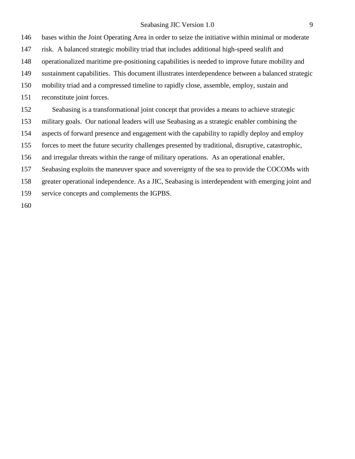bases within the Joint Operating Area in order to seize the initiative within minimal or moderate

risk. A balanced strategic mobility triad that includes additional high-speed sealift and

operationalized maritime pre-positioning capabilities is needed to improve future mobility and

sustainment capabilities. This document illustrates interdependence between a balanced strategic

mobility triad and a compressed timeline to rapidly close, assemble, employ, sustain and

reconstitute joint forces.

Seabasing is a transformational joint concept that provides a means to achieve strategic

military goals. Our national leaders will use Seabasing as a strategic enabler combining the

aspects of forward presence and engagement with the capability to rapidly deploy and employ

forces to meet the future security challenges presented by traditional, disruptive, catastrophic,

and irregular threats within the range of military operations. As an operational enabler,

Seabasing exploits the maneuver space and sovereignty of the sea to provide the COCOMs with

greater operational independence. As a JIC, Seabasing is interdependent with emerging joint and

service concepts and complements the IGPBS.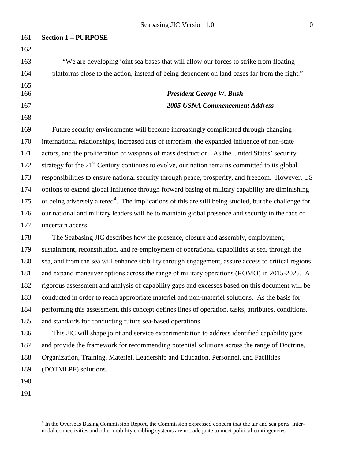| 161 | <b>Section 1 – PURPOSE</b>                                                                                        |
|-----|-------------------------------------------------------------------------------------------------------------------|
| 162 |                                                                                                                   |
| 163 | "We are developing joint sea bases that will allow our forces to strike from floating                             |
| 164 | platforms close to the action, instead of being dependent on land bases far from the fight."                      |
| 165 |                                                                                                                   |
| 166 | <b>President George W. Bush</b>                                                                                   |
| 167 | <b>2005 USNA Commencement Address</b>                                                                             |
| 168 |                                                                                                                   |
| 169 | Future security environments will become increasingly complicated through changing                                |
| 170 | international relationships, increased acts of terrorism, the expanded influence of non-state                     |
| 171 | actors, and the proliferation of weapons of mass destruction. As the United States' security                      |
| 172 | strategy for the 21 <sup>st</sup> Century continues to evolve, our nation remains committed to its global         |
| 173 | responsibilities to ensure national security through peace, prosperity, and freedom. However, US                  |
| 174 | options to extend global influence through forward basing of military capability are diminishing                  |
| 175 | or being adversely altered <sup>4</sup> . The implications of this are still being studied, but the challenge for |
| 176 | our national and military leaders will be to maintain global presence and security in the face of                 |
| 177 | uncertain access.                                                                                                 |
| 178 | The Seabasing JIC describes how the presence, closure and assembly, employment,                                   |
| 179 | sustainment, reconstitution, and re-employment of operational capabilities at sea, through the                    |
| 180 | sea, and from the sea will enhance stability through engagement, assure access to critical regions                |
| 181 | and expand maneuver options across the range of military operations (ROMO) in 2015-2025. A                        |
| 182 | rigorous assessment and analysis of capability gaps and excesses based on this document will be                   |
| 183 | conducted in order to reach appropriate materiel and non-materiel solutions. As the basis for                     |
| 184 | performing this assessment, this concept defines lines of operation, tasks, attributes, conditions,               |
| 185 | and standards for conducting future sea-based operations.                                                         |
| 186 | This JIC will shape joint and service experimentation to address identified capability gaps                       |
| 187 | and provide the framework for recommending potential solutions across the range of Doctrine,                      |
| 188 | Organization, Training, Materiel, Leadership and Education, Personnel, and Facilities                             |
| 189 | (DOTMLPF) solutions.                                                                                              |
| 190 |                                                                                                                   |
| 191 |                                                                                                                   |

<span id="page-9-0"></span><sup>&</sup>lt;sup>4</sup> In the Overseas Basing Commission Report, the Commission expressed concern that the air and sea ports, internodal connectivities and other mobility enabling systems are not adequate to meet political contingencies.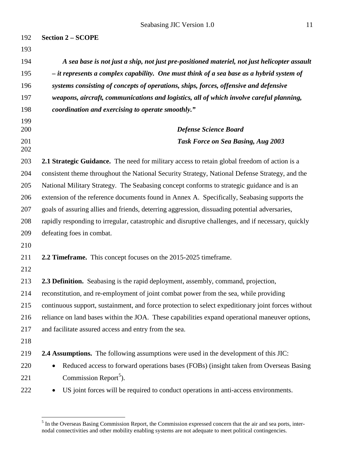| 192        | <b>Section 2 – SCOPE</b>                                                                           |
|------------|----------------------------------------------------------------------------------------------------|
| 193        |                                                                                                    |
| 194        | A sea base is not just a ship, not just pre-positioned materiel, not just helicopter assault       |
| 195        | $-$ it represents a complex capability. One must think of a sea base as a hybrid system of         |
| 196        | systems consisting of concepts of operations, ships, forces, offensive and defensive               |
| 197        | weapons, aircraft, communications and logistics, all of which involve careful planning,            |
| 198        | coordination and exercising to operate smoothly."                                                  |
| 199<br>200 | <b>Defense Science Board</b>                                                                       |
| 201<br>202 | <b>Task Force on Sea Basing, Aug 2003</b>                                                          |
| 203        | 2.1 Strategic Guidance. The need for military access to retain global freedom of action is a       |
| 204        | consistent theme throughout the National Security Strategy, National Defense Strategy, and the     |
| 205        | National Military Strategy. The Seabasing concept conforms to strategic guidance and is an         |
| 206        | extension of the reference documents found in Annex A. Specifically, Seabasing supports the        |
| 207        | goals of assuring allies and friends, deterring aggression, dissuading potential adversaries,      |
| 208        | rapidly responding to irregular, catastrophic and disruptive challenges, and if necessary, quickly |
| 209        | defeating foes in combat.                                                                          |
| 210        |                                                                                                    |
| 211        | 2.2 Timeframe. This concept focuses on the 2015-2025 timeframe.                                    |
| 212        |                                                                                                    |
| 213        | 2.3 Definition. Seabasing is the rapid deployment, assembly, command, projection,                  |
| 214        | reconstitution, and re-employment of joint combat power from the sea, while providing              |
| 215        | continuous support, sustainment, and force protection to select expeditionary joint forces without |
| 216        | reliance on land bases within the JOA. These capabilities expand operational maneuver options,     |
| 217        | and facilitate assured access and entry from the sea.                                              |
| 218        |                                                                                                    |
| 219        | <b>2.4 Assumptions.</b> The following assumptions were used in the development of this JIC:        |
| 220        | Reduced access to forward operations bases (FOBs) (insight taken from Overseas Basing<br>$\bullet$ |
| 221        | Commission Report <sup>5</sup> ).                                                                  |
| 222        | US joint forces will be required to conduct operations in anti-access environments.<br>$\bullet$   |

<span id="page-10-0"></span><sup>&</sup>lt;sup>5</sup> In the Overseas Basing Commission Report, the Commission expressed concern that the air and sea ports, internodal connectivities and other mobility enabling systems are not adequate to meet political contingencies.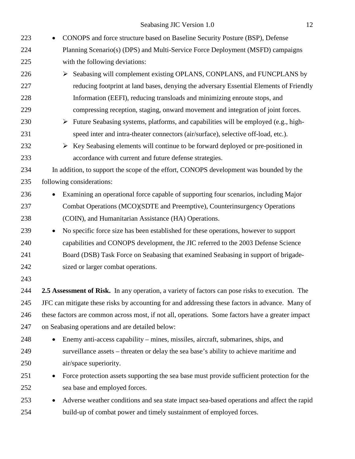Seabasing JIC Version 1.0 12

| 223 | CONOPS and force structure based on Baseline Security Posture (BSP), Defense                           |
|-----|--------------------------------------------------------------------------------------------------------|
| 224 | Planning Scenario(s) (DPS) and Multi-Service Force Deployment (MSFD) campaigns                         |
| 225 | with the following deviations:                                                                         |
| 226 | Seabasing will complement existing OPLANS, CONPLANS, and FUNCPLANS by                                  |
| 227 | reducing footprint at land bases, denying the adversary Essential Elements of Friendly                 |
| 228 | Information (EEFI), reducing transloads and minimizing enroute stops, and                              |
| 229 | compressing reception, staging, onward movement and integration of joint forces.                       |
| 230 | $\triangleright$ Future Seabasing systems, platforms, and capabilities will be employed (e.g., high-   |
| 231 | speed inter and intra-theater connectors (air/surface), selective off-load, etc.).                     |
| 232 | $\triangleright$ Key Seabasing elements will continue to be forward deployed or pre-positioned in      |
| 233 | accordance with current and future defense strategies.                                                 |
| 234 | In addition, to support the scope of the effort, CONOPS development was bounded by the                 |
| 235 | following considerations:                                                                              |
| 236 | Examining an operational force capable of supporting four scenarios, including Major<br>$\bullet$      |
| 237 | Combat Operations (MCO)(SDTE and Preemptive), Counterinsurgency Operations                             |
| 238 | (COIN), and Humanitarian Assistance (HA) Operations.                                                   |
| 239 | No specific force size has been established for these operations, however to support<br>$\bullet$      |
| 240 | capabilities and CONOPS development, the JIC referred to the 2003 Defense Science                      |
| 241 | Board (DSB) Task Force on Seabasing that examined Seabasing in support of brigade-                     |
| 242 | sized or larger combat operations.                                                                     |
| 243 |                                                                                                        |
| 244 | 2.5 Assessment of Risk. In any operation, a variety of factors can pose risks to execution. The        |
| 245 | JFC can mitigate these risks by accounting for and addressing these factors in advance. Many of        |
| 246 | these factors are common across most, if not all, operations. Some factors have a greater impact       |
| 247 | on Seabasing operations and are detailed below:                                                        |
| 248 | Enemy anti-access capability – mines, missiles, aircraft, submarines, ships, and<br>$\bullet$          |
| 249 | surveillance assets – threaten or delay the sea base's ability to achieve maritime and                 |
| 250 | air/space superiority.                                                                                 |
| 251 | Force protection assets supporting the sea base must provide sufficient protection for the<br>٠        |
| 252 | sea base and employed forces.                                                                          |
| 253 | Adverse weather conditions and sea state impact sea-based operations and affect the rapid<br>$\bullet$ |
| 254 | build-up of combat power and timely sustainment of employed forces.                                    |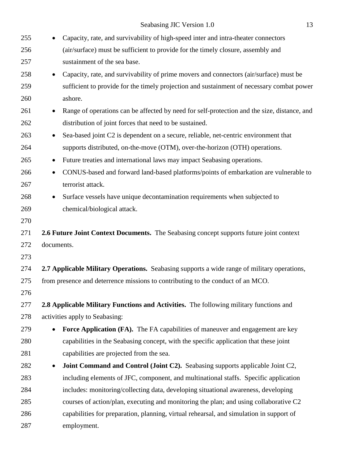| 255 | Capacity, rate, and survivability of high-speed inter and intra-theater connectors<br>$\bullet$          |
|-----|----------------------------------------------------------------------------------------------------------|
| 256 | (air/surface) must be sufficient to provide for the timely closure, assembly and                         |
| 257 | sustainment of the sea base.                                                                             |
| 258 | Capacity, rate, and survivability of prime movers and connectors (air/surface) must be<br>$\bullet$      |
| 259 | sufficient to provide for the timely projection and sustainment of necessary combat power                |
| 260 | ashore.                                                                                                  |
| 261 | Range of operations can be affected by need for self-protection and the size, distance, and<br>$\bullet$ |
| 262 | distribution of joint forces that need to be sustained.                                                  |
| 263 | Sea-based joint C2 is dependent on a secure, reliable, net-centric environment that<br>$\bullet$         |
| 264 | supports distributed, on-the-move (OTM), over-the-horizon (OTH) operations.                              |
| 265 | Future treaties and international laws may impact Seabasing operations.<br>$\bullet$                     |
| 266 | CONUS-based and forward land-based platforms/points of embarkation are vulnerable to<br>$\bullet$        |
| 267 | terrorist attack.                                                                                        |
| 268 | Surface vessels have unique decontamination requirements when subjected to<br>$\bullet$                  |
| 269 | chemical/biological attack.                                                                              |
| 270 |                                                                                                          |
| 271 | 2.6 Future Joint Context Documents. The Seabasing concept supports future joint context                  |
| 272 | documents.                                                                                               |
| 273 |                                                                                                          |
| 274 | 2.7 Applicable Military Operations. Seabasing supports a wide range of military operations,              |
| 275 | from presence and deterrence missions to contributing to the conduct of an MCO.                          |
| 276 |                                                                                                          |
| 277 | 2.8 Applicable Military Functions and Activities. The following military functions and                   |
| 278 | activities apply to Seabasing:                                                                           |
| 279 | Force Application (FA). The FA capabilities of maneuver and engagement are key<br>$\bullet$              |
| 280 | capabilities in the Seabasing concept, with the specific application that these joint                    |
| 281 | capabilities are projected from the sea.                                                                 |
| 282 | Joint Command and Control (Joint C2). Seabasing supports applicable Joint C2,<br>$\bullet$               |
| 283 | including elements of JFC, component, and multinational staffs. Specific application                     |
| 284 | includes: monitoring/collecting data, developing situational awareness, developing                       |
| 285 | courses of action/plan, executing and monitoring the plan; and using collaborative C2                    |
| 286 | capabilities for preparation, planning, virtual rehearsal, and simulation in support of                  |
| 287 | employment.                                                                                              |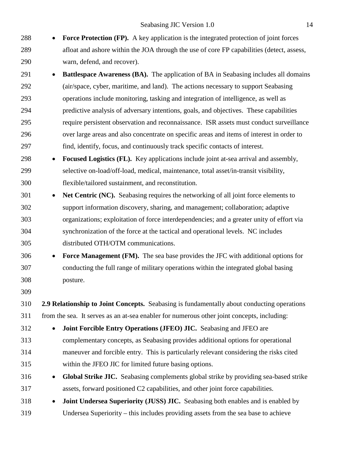- **Force Protection (FP).** A key application is the integrated protection of joint forces afloat and ashore within the JOA through the use of core FP capabilities (detect, assess, warn, defend, and recover).
- **Battlespace Awareness (BA).** The application of BA in Seabasing includes all domains (air/space, cyber, maritime, and land). The actions necessary to support Seabasing operations include monitoring, tasking and integration of intelligence, as well as predictive analysis of adversary intentions, goals, and objectives. These capabilities require persistent observation and reconnaissance. ISR assets must conduct surveillance over large areas and also concentrate on specific areas and items of interest in order to find, identify, focus, and continuously track specific contacts of interest.
- **Focused Logistics (FL).** Key applications include joint at-sea arrival and assembly, selective on-load/off-load, medical, maintenance, total asset/in-transit visibility, flexible/tailored sustainment, and reconstitution.
- **Net Centric (NC).** Seabasing requires the networking of all joint force elements to support information discovery, sharing, and management; collaboration; adaptive organizations; exploitation of force interdependencies; and a greater unity of effort via synchronization of the force at the tactical and operational levels.NC includes distributed OTH/OTM communications.
- **Force Management (FM).** The sea base provides the JFC with additional options for conducting the full range of military operations within the integrated global basing posture.
- 

 **2.9 Relationship to Joint Concepts.** Seabasing is fundamentally about conducting operations from the sea. It serves as an at-sea enabler for numerous other joint concepts, including:

- **Joint Forcible Entry Operations (JFEO) JIC.** Seabasing and JFEO are complementary concepts, as Seabasing provides additional options for operational
- maneuver and forcible entry. This is particularly relevant considering the risks cited within the JFEO JIC for limited future basing options.
- **Global Strike JIC.** Seabasing complements global strike by providing sea-based strike assets, forward positioned C2 capabilities, and other joint force capabilities.
- **Joint Undersea Superiority (JUSS) JIC.** Seabasing both enables and is enabled by Undersea Superiority – this includes providing assets from the sea base to achieve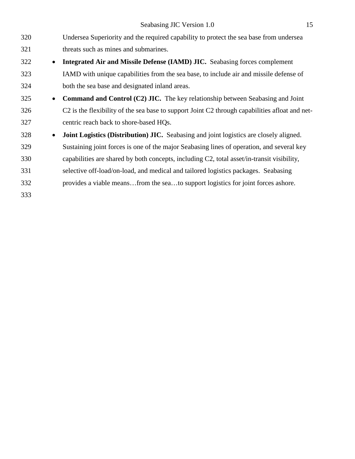Seabasing JIC Version 1.0 15

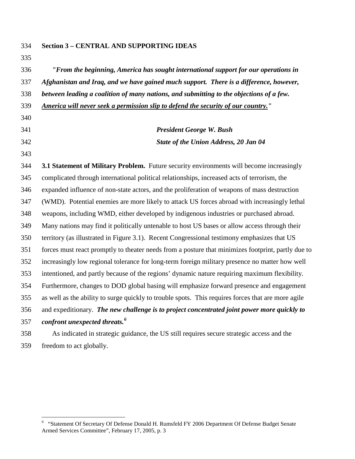| 335 |                                                                                                    |
|-----|----------------------------------------------------------------------------------------------------|
| 336 | "From the beginning, America has sought international support for our operations in                |
| 337 | Afghanistan and Iraq, and we have gained much support. There is a difference, however,             |
| 338 | between leading a coalition of many nations, and submitting to the objections of a few.            |
| 339 | America will never seek a permission slip to defend the security of our country."                  |
| 340 |                                                                                                    |
| 341 | <b>President George W. Bush</b>                                                                    |
| 342 | State of the Union Address, 20 Jan 04                                                              |
| 343 |                                                                                                    |
| 344 | 3.1 Statement of Military Problem. Future security environments will become increasingly           |
| 345 | complicated through international political relationships, increased acts of terrorism, the        |
| 346 | expanded influence of non-state actors, and the proliferation of weapons of mass destruction       |
| 347 | (WMD). Potential enemies are more likely to attack US forces abroad with increasingly lethal       |
| 348 | weapons, including WMD, either developed by indigenous industries or purchased abroad.             |
| 349 | Many nations may find it politically untenable to host US bases or allow access through their      |
| 350 | territory (as illustrated in Figure 3.1). Recent Congressional testimony emphasizes that US        |
| 351 | forces must react promptly to theater needs from a posture that minimizes footprint, partly due to |
| 352 | increasingly low regional tolerance for long-term foreign military presence no matter how well     |
| 353 | intentioned, and partly because of the regions' dynamic nature requiring maximum flexibility.      |
| 354 | Furthermore, changes to DOD global basing will emphasize forward presence and engagement           |
| 355 | as well as the ability to surge quickly to trouble spots. This requires forces that are more agile |
| 356 | and expeditionary. The new challenge is to project concentrated joint power more quickly to        |
| 357 | confront unexpected threats. <sup>6</sup>                                                          |
| 358 | As indicated in strategic guidance, the US still requires secure strategic access and the          |

**Section 3 – CENTRAL AND SUPPORTING IDEAS**

freedom to act globally.

<span id="page-15-0"></span> "Statement Of Secretary Of Defense Donald H. Rumsfeld FY 2006 Department Of Defense Budget Senate Armed Services Committee", February 17, 2005, p. 3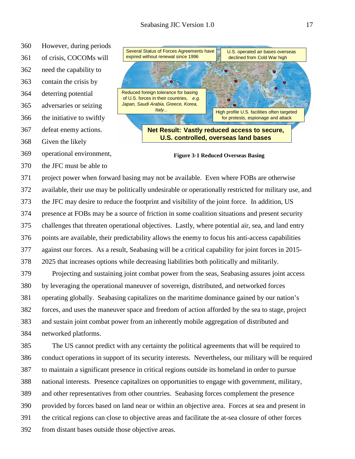- However, during periods
- of crisis, COCOMs will

 need the capability to contain the crisis by

- deterring potential
- 
- adversaries or seizing
- the initiative to swiftly
- defeat enemy actions.
- Given the likely
- operational environment,
- the JFC must be able to



**Figure 3-1 Reduced Overseas Basing**

 project power when forward basing may not be available. Even where FOBs are otherwise available, their use may be politically undesirable or operationally restricted for military use, and the JFC may desire to reduce the footprint and visibility of the joint force. In addition, US presence at FOBs may be a source of friction in some coalition situations and present security challenges that threaten operational objectives. Lastly, where potential air, sea, and land entry points are available, their predictability allows the enemy to focus his anti-access capabilities against our forces. As a result, Seabasing will be a critical capability for joint forces in 2015- 2025 that increases options while decreasing liabilities both politically and militarily. Projecting and sustaining joint combat power from the seas, Seabasing assures joint access

 by leveraging the operational maneuver of sovereign, distributed, and networked forces operating globally. Seabasing capitalizes on the maritime dominance gained by our nation's forces, and uses the maneuver space and freedom of action afforded by the sea to stage, project and sustain joint combat power from an inherently mobile aggregation of distributed and networked platforms.

 The US cannot predict with any certainty the political agreements that will be required to conduct operations in support of its security interests. Nevertheless, our military will be required to maintain a significant presence in critical regions outside its homeland in order to pursue national interests. Presence capitalizes on opportunities to engage with government, military, and other representatives from other countries. Seabasing forces complement the presence provided by forces based on land near or within an objective area. Forces at sea and present in the critical regions can close to objective areas and facilitate the at-sea closure of other forces from distant bases outside those objective areas.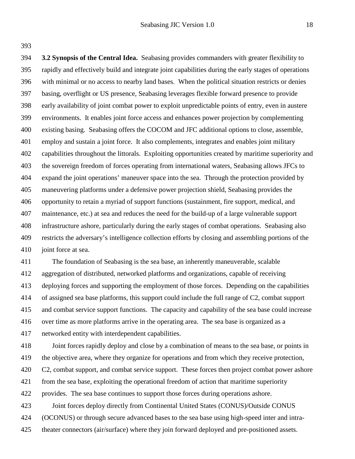**3.2 Synopsis of the Central Idea.** Seabasing provides commanders with greater flexibility to rapidly and effectively build and integrate joint capabilities during the early stages of operations with minimal or no access to nearby land bases. When the political situation restricts or denies basing, overflight or US presence, Seabasing leverages flexible forward presence to provide early availability of joint combat power to exploit unpredictable points of entry, even in austere environments. It enables joint force access and enhances power projection by complementing existing basing. Seabasing offers the COCOM and JFC additional options to close, assemble, employ and sustain a joint force. It also complements, integrates and enables joint military capabilities throughout the littorals. Exploiting opportunities created by maritime superiority and the sovereign freedom of forces operating from international waters, Seabasing allows JFCs to expand the joint operations' maneuver space into the sea. Through the protection provided by maneuvering platforms under a defensive power projection shield, Seabasing provides the opportunity to retain a myriad of support functions (sustainment, fire support, medical, and maintenance, etc.) at sea and reduces the need for the build-up of a large vulnerable support infrastructure ashore, particularly during the early stages of combat operations. Seabasing also restricts the adversary's intelligence collection efforts by closing and assembling portions of the 410 joint force at sea.

 The foundation of Seabasing is the sea base, an inherently maneuverable, scalable aggregation of distributed, networked platforms and organizations, capable of receiving deploying forces and supporting the employment of those forces. Depending on the capabilities of assigned sea base platforms, this support could include the full range of C2, combat support and combat service support functions. The capacity and capability of the sea base could increase over time as more platforms arrive in the operating area. The sea base is organized as a networked entity with interdependent capabilities.

 Joint forces rapidly deploy and close by a combination of means to the sea base, or points in the objective area, where they organize for operations and from which they receive protection, 420 C2, combat support, and combat service support. These forces then project combat power ashore from the sea base, exploiting the operational freedom of action that maritime superiority provides. The sea base continues to support those forces during operations ashore. Joint forces deploy directly from Continental United States (CONUS)/Outside CONUS (OCONUS) or through secure advanced bases to the sea base using high-speed inter and intra-

theater connectors (air/surface) where they join forward deployed and pre-positioned assets.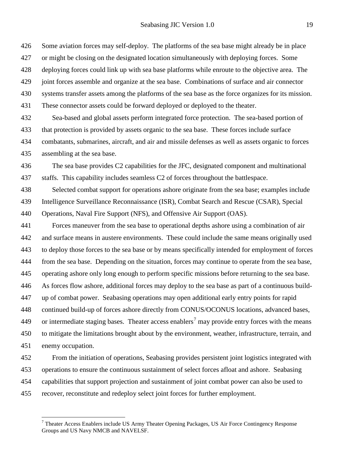Some aviation forces may self-deploy. The platforms of the sea base might already be in place

or might be closing on the designated location simultaneously with deploying forces. Some

deploying forces could link up with sea base platforms while enroute to the objective area. The

joint forces assemble and organize at the sea base. Combinations of surface and air connector

systems transfer assets among the platforms of the sea base as the force organizes for its mission.

These connector assets could be forward deployed or deployed to the theater.

 Sea-based and global assets perform integrated force protection. The sea-based portion of that protection is provided by assets organic to the sea base. These forces include surface combatants, submarines, aircraft, and air and missile defenses as well as assets organic to forces assembling at the sea base.

 The sea base provides C2 capabilities for the JFC, designated component and multinational staffs. This capability includes seamless C2 of forces throughout the battlespace.

 Selected combat support for operations ashore originate from the sea base; examples include Intelligence Surveillance Reconnaissance (ISR), Combat Search and Rescue (CSAR), Special Operations, Naval Fire Support (NFS), and Offensive Air Support (OAS).

 Forces maneuver from the sea base to operational depths ashore using a combination of air and surface means in austere environments. These could include the same means originally used to deploy those forces to the sea base or by means specifically intended for employment of forces from the sea base. Depending on the situation, forces may continue to operate from the sea base, operating ashore only long enough to perform specific missions before returning to the sea base. As forces flow ashore, additional forces may deploy to the sea base as part of a continuous build- up of combat power. Seabasing operations may open additional early entry points for rapid continued build-up of forces ashore directly from CONUS/OCONUS locations, advanced bases, 449 or intermediate staging bases. Theater access enablers<sup>[7](#page-18-0)</sup> may provide entry forces with the means to mitigate the limitations brought about by the environment, weather, infrastructure, terrain, and enemy occupation.

 From the initiation of operations, Seabasing provides persistent joint logistics integrated with operations to ensure the continuous sustainment of select forces afloat and ashore. Seabasing capabilities that support projection and sustainment of joint combat power can also be used to recover, reconstitute and redeploy select joint forces for further employment.

<span id="page-18-0"></span> Theater Access Enablers include US Army Theater Opening Packages, US Air Force Contingency Response Groups and US Navy NMCB and NAVELSF.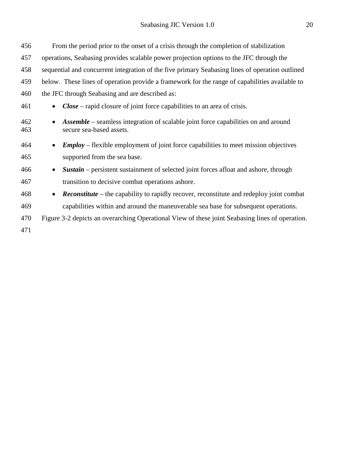| 456        | From the period prior to the onset of a crisis through the completion of stabilization                                |
|------------|-----------------------------------------------------------------------------------------------------------------------|
| 457        | operations, Seabasing provides scalable power projection options to the JFC through the                               |
| 458        | sequential and concurrent integration of the five primary Seabasing lines of operation outlined                       |
| 459        | below. These lines of operation provide a framework for the range of capabilities available to                        |
| 460        | the JFC through Seabasing and are described as:                                                                       |
| 461        | $Close - rapid closure of joint force capabilities to an area of crisis.$                                             |
| 462<br>463 | <b>Assemble</b> – seamless integration of scalable joint force capabilities on and around<br>secure sea-based assets. |
| 464        | <b>Employ</b> – flexible employment of joint force capabilities to meet mission objectives                            |
| 465        | supported from the sea base.                                                                                          |
| 466        | <b>Sustain</b> – persistent sustainment of selected joint forces afloat and ashore, through<br>$\bullet$              |
| 467        | transition to decisive combat operations ashore.                                                                      |
| 468        | <b>Reconstitute</b> – the capability to rapidly recover, reconstitute and redeploy joint combat<br>$\bullet$          |
| 469        | capabilities within and around the maneuverable sea base for subsequent operations.                                   |
| 470        | Figure 3-2 depicts an overarching Operational View of these joint Seabasing lines of operation.                       |
| 471        |                                                                                                                       |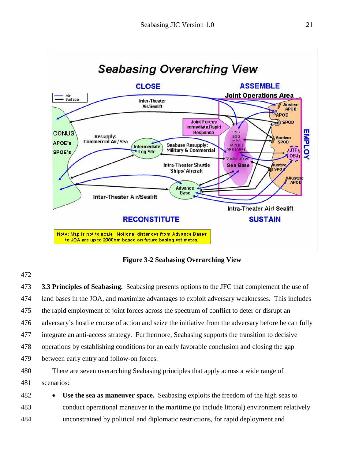

**Figure 3-2 Seabasing Overarching View**

 **3.3 Principles of Seabasing.** Seabasing presents options to the JFC that complement the use of land bases in the JOA, and maximize advantages to exploit adversary weaknesses. This includes the rapid employment of joint forces across the spectrum of conflict to deter or disrupt an adversary's hostile course of action and seize the initiative from the adversary before he can fully integrate an anti-access strategy. Furthermore, Seabasing supports the transition to decisive operations by establishing conditions for an early favorable conclusion and closing the gap between early entry and follow-on forces.

- There are seven overarching Seabasing principles that apply across a wide range of scenarios:
- **Use the sea as maneuver space.** Seabasing exploits the freedom of the high seas to conduct operational maneuver in the maritime (to include littoral) environment relatively unconstrained by political and diplomatic restrictions, for rapid deployment and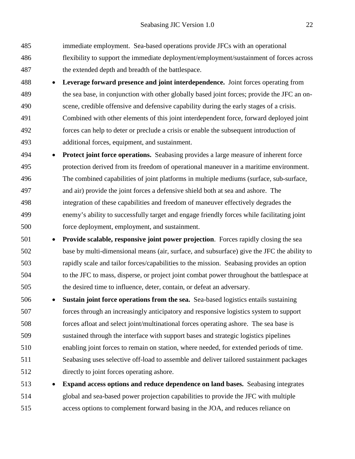- immediate employment. Sea-based operations provide JFCs with an operational flexibility to support the immediate deployment/employment/sustainment of forces across the extended depth and breadth of the battlespace.
- **Leverage forward presence and joint interdependence.** Joint forces operating from the sea base, in conjunction with other globally based joint forces; provide the JFC an on- scene, credible offensive and defensive capability during the early stages of a crisis. Combined with other elements of this joint interdependent force, forward deployed joint forces can help to deter or preclude a crisis or enable the subsequent introduction of additional forces, equipment, and sustainment.
- **Protect joint force operations.** Seabasing provides a large measure of inherent force protection derived from its freedom of operational maneuver in a maritime environment. The combined capabilities of joint platforms in multiple mediums (surface, sub-surface, and air) provide the joint forces a defensive shield both at sea and ashore. The integration of these capabilities and freedom of maneuver effectively degrades the enemy's ability to successfully target and engage friendly forces while facilitating joint force deployment, employment, and sustainment.
- **Provide scalable, responsive joint power projection**. Forces rapidly closing the sea base by multi-dimensional means (air, surface, and subsurface) give the JFC the ability to rapidly scale and tailor forces/capabilities to the mission. Seabasing provides an option to the JFC to mass, disperse, or project joint combat power throughout the battlespace at the desired time to influence, deter, contain, or defeat an adversary.
- **Sustain joint force operations from the sea.** Sea-based logistics entails sustaining forces through an increasingly anticipatory and responsive logistics system to support forces afloat and select joint/multinational forces operating ashore. The sea base is sustained through the interface with support bases and strategic logistics pipelines enabling joint forces to remain on station, where needed, for extended periods of time. Seabasing uses selective off-load to assemble and deliver tailored sustainment packages directly to joint forces operating ashore.
- **Expand access options and reduce dependence on land bases.** Seabasing integrates global and sea-based power projection capabilities to provide the JFC with multiple access options to complement forward basing in the JOA, and reduces reliance on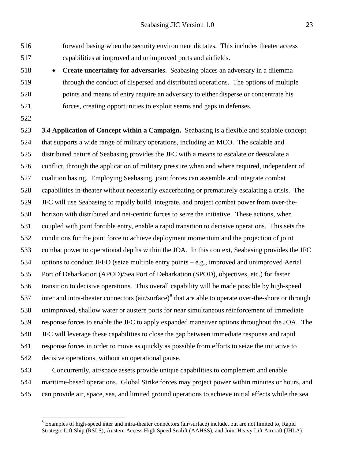forward basing when the security environment dictates. This includes theater access capabilities at improved and unimproved ports and airfields.

- **Create uncertainty for adversaries.** Seabasing places an adversary in a dilemma through the conduct of dispersed and distributed operations.The options of multiple points and means of entry require an adversary to either disperse or concentrate his forces, creating opportunities to exploit seams and gaps in defenses.
- 

 **3.4 Application of Concept within a Campaign.** Seabasing is a flexible and scalable concept that supports a wide range of military operations, including an MCO.The scalable and distributed nature of Seabasing provides the JFC with a means to escalate or deescalate a conflict, through the application of military pressure when and where required, independent of coalition basing. Employing Seabasing, joint forces can assemble and integrate combat capabilities in-theater without necessarily exacerbating or prematurely escalating a crisis. The JFC will use Seabasing to rapidly build, integrate, and project combat power from over-the- horizon with distributed and net-centric forces to seize the initiative. These actions, when coupled with joint forcible entry, enable a rapid transition to decisive operations. This sets the conditions for the joint force to achieve deployment momentum and the projection of joint combat power to operational depths within the JOA. In this context, Seabasing provides the JFC options to conduct JFEO (seize multiple entry points *–* e.g., improved and unimproved Aerial Port of Debarkation (APOD)/Sea Port of Debarkation (SPOD), objectives, etc.) for faster transition to decisive operations. This overall capability will be made possible by high-speed 537 inter and intra-theater connectors  $(air/surface)^8$  $(air/surface)^8$  that are able to operate over-the-shore or through unimproved, shallow water or austere ports for near simultaneous reinforcement of immediate response forces to enable the JFC to apply expanded maneuver options throughout the JOA. The JFC will leverage these capabilities to close the gap between immediate response and rapid response forces in order to move as quickly as possible from efforts to seize the initiative to decisive operations, without an operational pause.

 Concurrently, air/space assets provide unique capabilities to complement and enable maritime-based operations. Global Strike forces may project power within minutes or hours, and can provide air, space, sea, and limited ground operations to achieve initial effects while the sea

<span id="page-22-0"></span><sup>&</sup>lt;sup>8</sup> Examples of high-speed inter and intra-theater connectors (air/surface) include, but are not limited to, Rapid Strategic Lift Ship (RSLS), Austere Access High Speed Sealift (AAHSS), and Joint Heavy Lift Aircraft (JHLA).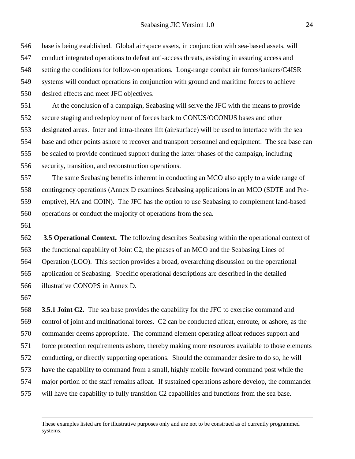base is being established. Global air/space assets, in conjunction with sea-based assets, will conduct integrated operations to defeat anti-access threats, assisting in assuring access and setting the conditions for follow-on operations. Long-range combat air forces/tankers/C4ISR systems will conduct operations in conjunction with ground and maritime forces to achieve

desired effects and meet JFC objectives.

 At the conclusion of a campaign, Seabasing will serve the JFC with the means to provide secure staging and redeployment of forces back to CONUS/OCONUS bases and other designated areas. Inter and intra-theater lift (air/surface) will be used to interface with the sea base and other points ashore to recover and transport personnel and equipment. The sea base can be scaled to provide continued support during the latter phases of the campaign, including security, transition, and reconstruction operations.

 The same Seabasing benefits inherent in conducting an MCO also apply to a wide range of contingency operations (Annex D examines Seabasing applications in an MCO (SDTE and Pre- emptive), HA and COIN). The JFC has the option to use Seabasing to complement land-based operations or conduct the majority of operations from the sea.

 **3.5 Operational Context.** The following describes Seabasing within the operational context of the functional capability of Joint C2, the phases of an MCO and the Seabasing Lines of Operation (LOO). This section provides a broad, overarching discussion on the operational application of Seabasing. Specific operational descriptions are described in the detailed illustrative CONOPS in Annex D.

 **3.5.1 Joint C2.** The sea base provides the capability for the JFC to exercise command and control of joint and multinational forces. C2 can be conducted afloat, enroute, or ashore, as the commander deems appropriate. The command element operating afloat reduces support and force protection requirements ashore, thereby making more resources available to those elements conducting, or directly supporting operations. Should the commander desire to do so, he will have the capability to command from a small, highly mobile forward command post while the major portion of the staff remains afloat. If sustained operations ashore develop, the commander will have the capability to fully transition C2 capabilities and functions from the sea base.

These examples listed are for illustrative purposes only and are not to be construed as of currently programmed systems.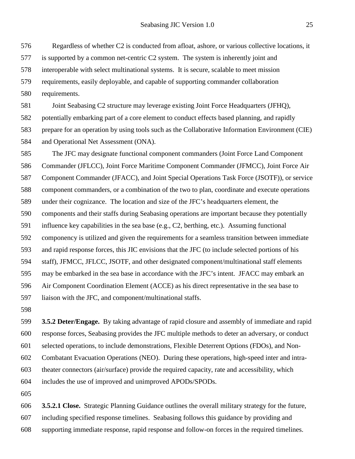Regardless of whether C2 is conducted from afloat, ashore, or various collective locations, it is supported by a common net-centric C2 system. The system is inherently joint and interoperable with select multinational systems. It is secure, scalable to meet mission requirements, easily deployable, and capable of supporting commander collaboration requirements.

 Joint Seabasing C2 structure may leverage existing Joint Force Headquarters (JFHQ), potentially embarking part of a core element to conduct effects based planning, and rapidly prepare for an operation by using tools such as the Collaborative Information Environment (CIE) and Operational Net Assessment (ONA).

 The JFC may designate functional component commanders (Joint Force Land Component Commander (JFLCC), Joint Force Maritime Component Commander (JFMCC), Joint Force Air Component Commander (JFACC), and Joint Special Operations Task Force (JSOTF)), or service component commanders, or a combination of the two to plan, coordinate and execute operations under their cognizance. The location and size of the JFC's headquarters element, the components and their staffs during Seabasing operations are important because they potentially influence key capabilities in the sea base (e.g., C2, berthing, etc.). Assuming functional componency is utilized and given the requirements for a seamless transition between immediate and rapid response forces, this JIC envisions that the JFC (to include selected portions of his staff), JFMCC, JFLCC, JSOTF, and other designated component/multinational staff elements may be embarked in the sea base in accordance with the JFC's intent. JFACC may embark an Air Component Coordination Element (ACCE) as his direct representative in the sea base to liaison with the JFC, and component/multinational staffs.

 **3.5.2 Deter/Engage.** By taking advantage of rapid closure and assembly of immediate and rapid response forces, Seabasing provides the JFC multiple methods to deter an adversary, or conduct selected operations, to include demonstrations, Flexible Deterrent Options (FDOs), and Non- Combatant Evacuation Operations (NEO). During these operations, high-speed inter and intra- theater connectors (air/surface) provide the required capacity, rate and accessibility, which includes the use of improved and unimproved APODs/SPODs.

 **3.5.2.1 Close.** Strategic Planning Guidance outlines the overall military strategy for the future, including specified response timelines. Seabasing follows this guidance by providing and supporting immediate response, rapid response and follow-on forces in the required timelines.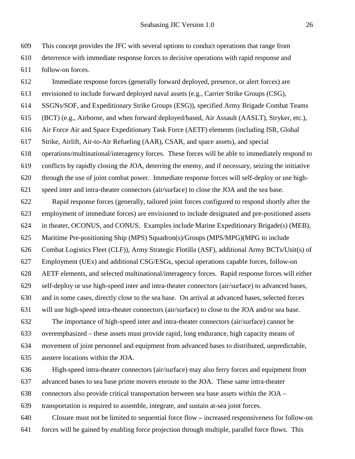This concept provides the JFC with several options to conduct operations that range from deterrence with immediate response forces to decisive operations with rapid response and follow-on forces.

Immediate response forces (generally forward deployed, presence, or alert forces) are

 envisioned to include forward deployed naval assets (e.g., Carrier Strike Groups (CSG), SSGNs/SOF, and Expeditionary Strike Groups (ESG)), specified Army Brigade Combat Teams (BCT) (e.g., Airborne, and when forward deployed/based, Air Assault (AASLT), Stryker, etc.), Air Force Air and Space Expeditionary Task Force (AETF) elements (including ISR, Global Strike, Airlift, Air-to-Air Refueling (AAR), CSAR, and space assets), and special operations/multinational/interagency forces. These forces will be able to immediately respond to conflicts by rapidly closing the JOA, deterring the enemy, and if necessary, seizing the initiative through the use of joint combat power. Immediate response forces will self-deploy or use high- speed inter and intra-theater connectors (air/surface) to close the JOA and the sea base. Rapid response forces (generally, tailored joint forces configured to respond shortly after the employment of immediate forces) are envisioned to include designated and pre-positioned assets in theater, OCONUS, and CONUS. Examples include Marine Expeditionary Brigade(s) (MEB), Maritime Pre-positioning Ship (MPS) Squadron(s)/Groups (MPS/MPG)(MPG to include Combat Logistics Fleet (CLF)), Army Strategic Flotilla (ASF), additional Army BCTs/Unit(s) of Employment (UEx) and additional CSG/ESGs, special operations capable forces, follow-on AETF elements, and selected multinational/interagency forces. Rapid response forces will either self-deploy or use high-speed inter and intra-theater connectors (air/surface) to advanced bases, and in some cases, directly close to the sea base. On arrival at advanced bases, selected forces will use high-speed intra-theater connectors (air/surface) to close to the JOA and/or sea base. The importance of high-speed inter and intra-theater connectors (air/surface) cannot be overemphasized – these assets must provide rapid, long endurance, high capacity means of movement of joint personnel and equipment from advanced bases to distributed, unpredictable, austere locations within the JOA.

 High-speed intra-theater connectors (air/surface) may also ferry forces and equipment from advanced bases to sea base prime movers enroute to the JOA. These same intra-theater connectors also provide critical transportation between sea base assets within the JOA – transportation is required to assemble, integrate, and sustain at-sea joint forces.

 Closure must not be limited to sequential force flow *–* increased responsiveness for follow-on forces will be gained by enabling force projection through multiple, parallel force flows. This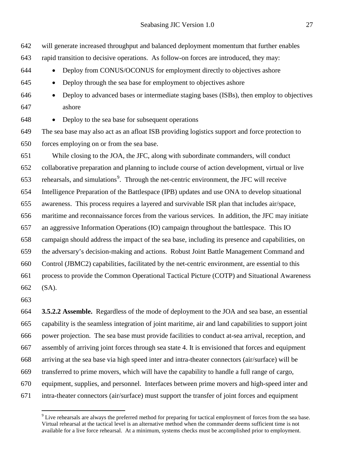- will generate increased throughput and balanced deployment momentum that further enables
- rapid transition to decisive operations. As follow-on forces are introduced, they may:
- Deploy from CONUS/OCONUS for employment directly to objectives ashore
- Deploy through the sea base for employment to objectives ashore
- Deploy to advanced bases or intermediate staging bases (ISBs), then employ to objectives ashore

• Deploy to the sea base for subsequent operations

 The sea base may also act as an afloat ISB providing logistics support and force protection to forces employing on or from the sea base.

 While closing to the JOA, the JFC, along with subordinate commanders, will conduct collaborative preparation and planning to include course of action development, virtual or live 653 rehearsals, and simulations<sup>[9](#page-26-0)</sup>. Through the net-centric environment, the JFC will receive Intelligence Preparation of the Battlespace (IPB) updates and use ONA to develop situational awareness. This process requires a layered and survivable ISR plan that includes air/space, maritime and reconnaissance forces from the various services. In addition, the JFC may initiate an aggressive Information Operations (IO) campaign throughout the battlespace. This IO campaign should address the impact of the sea base, including its presence and capabilities, on the adversary's decision-making and actions. Robust Joint Battle Management Command and Control (JBMC2) capabilities, facilitated by the net-centric environment, are essential to this process to provide the Common Operational Tactical Picture (COTP) and Situational Awareness (SA).

 **3.5.2.2 Assemble.** Regardless of the mode of deployment to the JOA and sea base, an essential capability is the seamless integration of joint maritime, air and land capabilities to support joint power projection. The sea base must provide facilities to conduct at-sea arrival, reception, and assembly of arriving joint forces through sea state 4. It is envisioned that forces and equipment arriving at the sea base via high speed inter and intra-theater connectors (air/surface) will be transferred to prime movers, which will have the capability to handle a full range of cargo, equipment, supplies, and personnel. Interfaces between prime movers and high-speed inter and intra-theater connectors (air/surface) must support the transfer of joint forces and equipment

<span id="page-26-0"></span> Live rehearsals are always the preferred method for preparing for tactical employment of forces from the sea base. Virtual rehearsal at the tactical level is an alternative method when the commander deems sufficient time is not available for a live force rehearsal. At a minimum, systems checks must be accomplished prior to employment.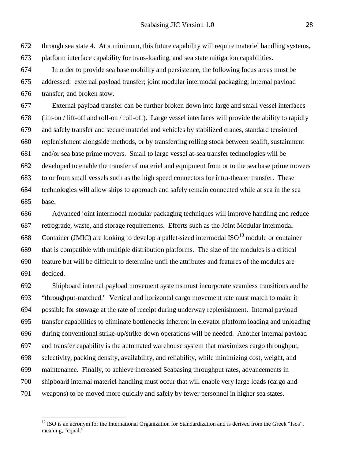through sea state 4. At a minimum, this future capability will require materiel handling systems, platform interface capability for trans-loading, and sea state mitigation capabilities. In order to provide sea base mobility and persistence, the following focus areas must be addressed: external payload transfer; joint modular intermodal packaging; internal payload

transfer; and broken stow.

 External payload transfer can be further broken down into large and small vessel interfaces (lift-on / lift-off and roll-on / roll-off). Large vessel interfaces will provide the ability to rapidly and safely transfer and secure materiel and vehicles by stabilized cranes, standard tensioned replenishment alongside methods, or by transferring rolling stock between sealift, sustainment and/or sea base prime movers. Small to large vessel at-sea transfer technologies will be developed to enable the transfer of materiel and equipment from or to the sea base prime movers to or from small vessels such as the high speed connectors for intra-theater transfer. These technologies will allow ships to approach and safely remain connected while at sea in the sea base.

 Advanced joint intermodal modular packaging techniques will improve handling and reduce retrograde, waste, and storage requirements. Efforts such as the Joint Modular Intermodal 688 Container (JMIC) are looking to develop a pallet-sized intermodal  $ISO^{10}$  $ISO^{10}$  $ISO^{10}$  module or container that is compatible with multiple distribution platforms. The size of the modules is a critical feature but will be difficult to determine until the attributes and features of the modules are decided.

 Shipboard internal payload movement systems must incorporate seamless transitions and be "throughput-matched." Vertical and horizontal cargo movement rate must match to make it possible for stowage at the rate of receipt during underway replenishment. Internal payload transfer capabilities to eliminate bottlenecks inherent in elevator platform loading and unloading during conventional strike-up/strike-down operations will be needed. Another internal payload and transfer capability is the automated warehouse system that maximizes cargo throughput, selectivity, packing density, availability, and reliability, while minimizing cost, weight, and maintenance. Finally, to achieve increased Seabasing throughput rates, advancements in shipboard internal materiel handling must occur that will enable very large loads (cargo and weapons) to be moved more quickly and safely by fewer personnel in higher sea states.

<span id="page-27-0"></span> ISO is an acronym for the International Organization for Standardization and is derived from the Greek "Isos", meaning, "equal."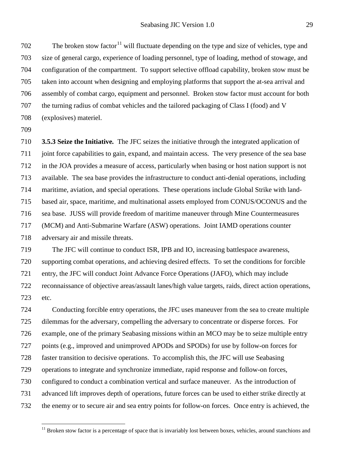The broken stow factor<sup>[11](#page-28-0)</sup> will fluctuate depending on the type and size of vehicles, type and size of general cargo, experience of loading personnel, type of loading, method of stowage, and configuration of the compartment. To support selective offload capability, broken stow must be taken into account when designing and employing platforms that support the at-sea arrival and assembly of combat cargo, equipment and personnel. Broken stow factor must account for both the turning radius of combat vehicles and the tailored packaging of Class I (food) and V (explosives) materiel.

 **3.5.3 Seize the Initiative***.* The JFC seizes the initiative through the integrated application of joint force capabilities to gain, expand, and maintain access. The very presence of the sea base in the JOA provides a measure of access, particularly when basing or host nation support is not available. The sea base provides the infrastructure to conduct anti-denial operations, including maritime, aviation, and special operations. These operations include Global Strike with land- based air, space, maritime, and multinational assets employed from CONUS/OCONUS and the sea base. JUSS will provide freedom of maritime maneuver through Mine Countermeasures (MCM) and Anti-Submarine Warfare (ASW) operations. Joint IAMD operations counter adversary air and missile threats.

 The JFC will continue to conduct ISR, IPB and IO, increasing battlespace awareness, supporting combat operations, and achieving desired effects. To set the conditions for forcible entry, the JFC will conduct Joint Advance Force Operations (JAFO), which may include reconnaissance of objective areas/assault lanes/high value targets, raids, direct action operations, etc.

 Conducting forcible entry operations, the JFC uses maneuver from the sea to create multiple dilemmas for the adversary, compelling the adversary to concentrate or disperse forces. For example, one of the primary Seabasing missions within an MCO may be to seize multiple entry points (e.g., improved and unimproved APODs and SPODs) for use by follow-on forces for faster transition to decisive operations. To accomplish this, the JFC will use Seabasing operations to integrate and synchronize immediate, rapid response and follow-on forces, configured to conduct a combination vertical and surface maneuver. As the introduction of advanced lift improves depth of operations, future forces can be used to either strike directly at the enemy or to secure air and sea entry points for follow-on forces. Once entry is achieved, the

<span id="page-28-0"></span>Broken stow factor is a percentage of space that is invariably lost between boxes, vehicles, around stanchions and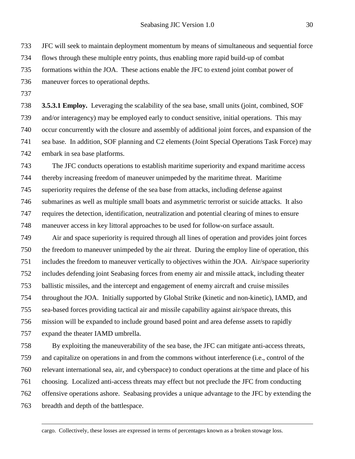JFC will seek to maintain deployment momentum by means of simultaneous and sequential force flows through these multiple entry points, thus enabling more rapid build-up of combat formations within the JOA. These actions enable the JFC to extend joint combat power of maneuver forces to operational depths.

 **3.5.3.1 Employ.** Leveraging the scalability of the sea base, small units (joint, combined, SOF and/or interagency) may be employed early to conduct sensitive, initial operations. This may occur concurrently with the closure and assembly of additional joint forces, and expansion of the sea base. In addition, SOF planning and C2 elements (Joint Special Operations Task Force) may embark in sea base platforms.

 The JFC conducts operations to establish maritime superiority and expand maritime access thereby increasing freedom of maneuver unimpeded by the maritime threat. Maritime superiority requires the defense of the sea base from attacks, including defense against submarines as well as multiple small boats and asymmetric terrorist or suicide attacks. It also requires the detection, identification, neutralization and potential clearing of mines to ensure maneuver access in key littoral approaches to be used for follow-on surface assault.

 Air and space superiority is required through all lines of operation and provides joint forces the freedom to maneuver unimpeded by the air threat. During the employ line of operation, this includes the freedom to maneuver vertically to objectives within the JOA. Air/space superiority includes defending joint Seabasing forces from enemy air and missile attack, including theater ballistic missiles, and the intercept and engagement of enemy aircraft and cruise missiles throughout the JOA. Initially supported by Global Strike (kinetic and non-kinetic), IAMD, and sea-based forces providing tactical air and missile capability against air/space threats, this mission will be expanded to include ground based point and area defense assets to rapidly expand the theater IAMD umbrella.

 By exploiting the maneuverability of the sea base, the JFC can mitigate anti-access threats, and capitalize on operations in and from the commons without interference (i.e., control of the relevant international sea, air, and cyberspace) to conduct operations at the time and place of his choosing. Localized anti-access threats may effect but not preclude the JFC from conducting offensive operations ashore. Seabasing provides a unique advantage to the JFC by extending the breadth and depth of the battlespace.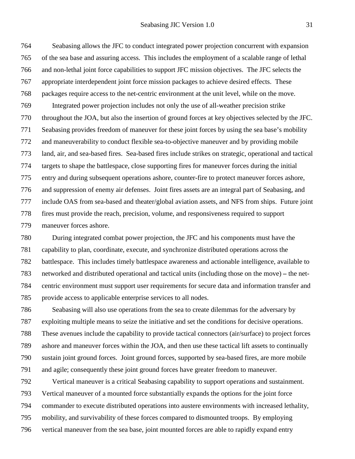Seabasing allows the JFC to conduct integrated power projection concurrent with expansion of the sea base and assuring access. This includes the employment of a scalable range of lethal and non-lethal joint force capabilities to support JFC mission objectives. The JFC selects the appropriate interdependent joint force mission packages to achieve desired effects. These packages require access to the net-centric environment at the unit level, while on the move. Integrated power projection includes not only the use of all-weather precision strike throughout the JOA, but also the insertion of ground forces at key objectives selected by the JFC. Seabasing provides freedom of maneuver for these joint forces by using the sea base's mobility and maneuverability to conduct flexible sea-to-objective maneuver and by providing mobile land, air, and sea-based fires. Sea-based fires include strikes on strategic, operational and tactical targets to shape the battlespace, close supporting fires for maneuver forces during the initial entry and during subsequent operations ashore, counter-fire to protect maneuver forces ashore, and suppression of enemy air defenses. Joint fires assets are an integral part of Seabasing, and include OAS from sea-based and theater/global aviation assets, and NFS from ships. Future joint fires must provide the reach, precision, volume, and responsiveness required to support maneuver forces ashore.

 During integrated combat power projection, the JFC and his components must have the capability to plan, coordinate, execute, and synchronize distributed operations across the battlespace. This includes timely battlespace awareness and actionable intelligence, available to networked and distributed operational and tactical units (including those on the move) *–* the net- centric environment must support user requirements for secure data and information transfer and provide access to applicable enterprise services to all nodes.

 Seabasing will also use operations from the sea to create dilemmas for the adversary by exploiting multiple means to seize the initiative and set the conditions for decisive operations. These avenues include the capability to provide tactical connectors (air/surface) to project forces ashore and maneuver forces within the JOA, and then use these tactical lift assets to continually sustain joint ground forces. Joint ground forces, supported by sea-based fires, are more mobile and agile; consequently these joint ground forces have greater freedom to maneuver.

 Vertical maneuver is a critical Seabasing capability to support operations and sustainment. Vertical maneuver of a mounted force substantially expands the options for the joint force commander to execute distributed operations into austere environments with increased lethality, mobility, and survivability of these forces compared to dismounted troops. By employing vertical maneuver from the sea base, joint mounted forces are able to rapidly expand entry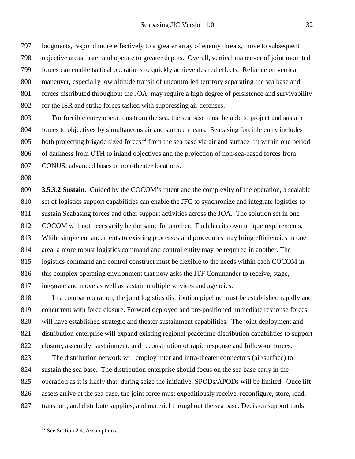lodgments, respond more effectively to a greater array of enemy threats, move to subsequent objective areas faster and operate to greater depths. Overall, vertical maneuver of joint mounted forces can enable tactical operations to quickly achieve desired effects. Reliance on vertical maneuver, especially low altitude transit of uncontrolled territory separating the sea base and forces distributed throughout the JOA, may require a high degree of persistence and survivability for the ISR and strike forces tasked with suppressing air defenses.

 For forcible entry operations from the sea, the sea base must be able to project and sustain forces to objectives by simultaneous air and surface means. Seabasing forcible entry includes 805 both projecting brigade sized forces<sup>[12](#page-31-0)</sup> from the sea base via air and surface lift within one period of darkness from OTH to inland objectives and the projection of non-sea-based forces from CONUS, advanced bases or non-theater locations.

 **3.5.3.2 Sustain.** Guided by the COCOM's intent and the complexity of the operation, a scalable set of logistics support capabilities can enable the JFC to synchronize and integrate logistics to sustain Seabasing forces and other support activities across the JOA. The solution set in one COCOM will not necessarily be the same for another. Each has its own unique requirements. While simple enhancements to existing processes and procedures may bring efficiencies in one area, a more robust logistics command and control entity may be required in another. The logistics command and control construct must be flexible to the needs within each COCOM in 816 this complex operating environment that now asks the JTF Commander to receive, stage, integrate and move as well as sustain multiple services and agencies.

 In a combat operation, the joint logistics distribution pipeline must be established rapidly and concurrent with force closure. Forward deployed and pre-positioned immediate response forces will have established strategic and theater sustainment capabilities.The joint deployment and distribution enterprise will expand existing regional peacetime distribution capabilities to support closure, assembly, sustainment, and reconstitution of rapid response and follow-on forces.

 The distribution network will employ inter and intra-theater connectors (air/surface) to sustain the sea base. The distribution enterprise should focus on the sea base early in the operation as it is likely that, during seize the initiative, SPODs/APODs will be limited. Once lift assets arrive at the sea base, the joint force must expeditiously receive, reconfigure, store, load, transport, and distribute supplies, and materiel throughout the sea base. Decision support tools

<span id="page-31-0"></span><sup>&</sup>lt;sup>12</sup> See Section 2.4, Assumptions.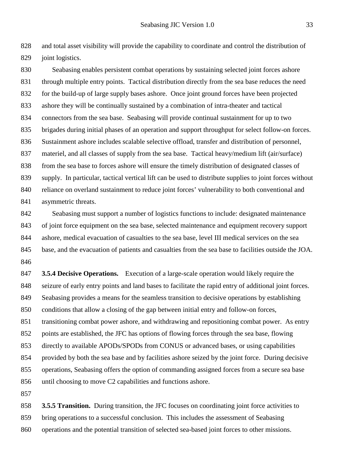and total asset visibility will provide the capability to coordinate and control the distribution of joint logistics.

 Seabasing enables persistent combat operations by sustaining selected joint forces ashore through multiple entry points. Tactical distribution directly from the sea base reduces the need for the build-up of large supply bases ashore. Once joint ground forces have been projected ashore they will be continually sustained by a combination of intra-theater and tactical connectors from the sea base. Seabasing will provide continual sustainment for up to two brigades during initial phases of an operation and support throughput for select follow-on forces. Sustainment ashore includes scalable selective offload, transfer and distribution of personnel, materiel, and all classes of supply from the sea base. Tactical heavy/medium lift (air/surface) from the sea base to forces ashore will ensure the timely distribution of designated classes of supply. In particular, tactical vertical lift can be used to distribute supplies to joint forces without 840 reliance on overland sustainment to reduce joint forces' vulnerability to both conventional and 841 asymmetric threats.

 Seabasing must support a number of logistics functions to include: designated maintenance of joint force equipment on the sea base, selected maintenance and equipment recovery support ashore, medical evacuation of casualties to the sea base, level III medical services on the sea base, and the evacuation of patients and casualties from the sea base to facilities outside the JOA. 

 **3.5.4 Decisive Operations.** Execution of a large-scale operation would likely require the seizure of early entry points and land bases to facilitate the rapid entry of additional joint forces. Seabasing provides a means for the seamless transition to decisive operations by establishing conditions that allow a closing of the gap between initial entry and follow-on forces, transitioning combat power ashore, and withdrawing and repositioning combat power. As entry points are established, the JFC has options of flowing forces through the sea base, flowing directly to available APODs/SPODs from CONUS or advanced bases, or using capabilities provided by both the sea base and by facilities ashore seized by the joint force. During decisive operations, Seabasing offers the option of commanding assigned forces from a secure sea base until choosing to move C2 capabilities and functions ashore.

 **3.5.5 Transition.** During transition, the JFC focuses on coordinating joint force activities to bring operations to a successful conclusion. This includes the assessment of Seabasing operations and the potential transition of selected sea-based joint forces to other missions.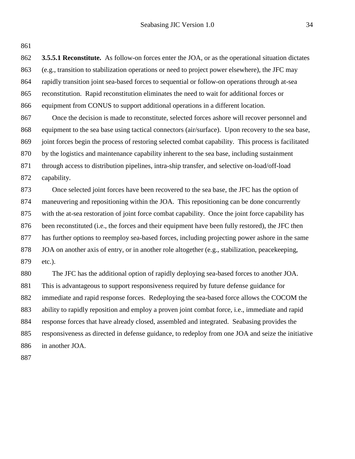**3.5.5.1 Reconstitute.** As follow-on forces enter the JOA, or as the operational situation dictates (e.g., transition to stabilization operations or need to project power elsewhere), the JFC may rapidly transition joint sea-based forces to sequential or follow-on operations through at-sea reconstitution. Rapid reconstitution eliminates the need to wait for additional forces or equipment from CONUS to support additional operations in a different location.

 Once the decision is made to reconstitute, selected forces ashore will recover personnel and equipment to the sea base using tactical connectors (air/surface). Upon recovery to the sea base, joint forces begin the process of restoring selected combat capability. This process is facilitated by the logistics and maintenance capability inherent to the sea base, including sustainment through access to distribution pipelines, intra-ship transfer, and selective on-load/off-load capability.

 Once selected joint forces have been recovered to the sea base, the JFC has the option of maneuvering and repositioning within the JOA. This repositioning can be done concurrently with the at-sea restoration of joint force combat capability. Once the joint force capability has 876 been reconstituted (i.e., the forces and their equipment have been fully restored), the JFC then has further options to reemploy sea-based forces, including projecting power ashore in the same JOA on another axis of entry, or in another role altogether (e.g., stabilization, peacekeeping, etc.).

 The JFC has the additional option of rapidly deploying sea-based forces to another JOA. This is advantageous to support responsiveness required by future defense guidance for immediate and rapid response forces. Redeploying the sea-based force allows the COCOM the ability to rapidly reposition and employ a proven joint combat force, i.e., immediate and rapid response forces that have already closed, assembled and integrated. Seabasing provides the responsiveness as directed in defense guidance, to redeploy from one JOA and seize the initiative in another JOA.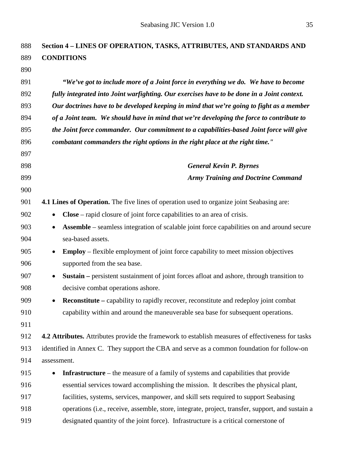| 888 | Section 4 - LINES OF OPERATION, TASKS, ATTRIBUTES, AND STANDARDS AND                                          |
|-----|---------------------------------------------------------------------------------------------------------------|
| 889 | <b>CONDITIONS</b>                                                                                             |
| 890 |                                                                                                               |
| 891 | "We've got to include more of a Joint force in everything we do. We have to become                            |
| 892 | fully integrated into Joint warfighting. Our exercises have to be done in a Joint context.                    |
| 893 | Our doctrines have to be developed keeping in mind that we're going to fight as a member                      |
| 894 | of a Joint team. We should have in mind that we're developing the force to contribute to                      |
| 895 | the Joint force commander. Our commitment to a capabilities-based Joint force will give                       |
| 896 | combatant commanders the right options in the right place at the right time."                                 |
| 897 |                                                                                                               |
| 898 | <b>General Kevin P. Byrnes</b>                                                                                |
| 899 | <b>Army Training and Doctrine Command</b>                                                                     |
| 900 |                                                                                                               |
| 901 | <b>4.1 Lines of Operation.</b> The five lines of operation used to organize joint Seabasing are:              |
| 902 | <b>Close</b> – rapid closure of joint force capabilities to an area of crisis.<br>$\bullet$                   |
| 903 | <b>Assemble</b> – seamless integration of scalable joint force capabilities on and around secure<br>$\bullet$ |
| 904 | sea-based assets.                                                                                             |
| 905 | <b>Employ</b> – flexible employment of joint force capability to meet mission objectives<br>$\bullet$         |
| 906 | supported from the sea base.                                                                                  |
| 907 | Sustain - persistent sustainment of joint forces afloat and ashore, through transition to<br>$\bullet$        |
| 908 | decisive combat operations ashore.                                                                            |
| 909 | <b>Reconstitute</b> – capability to rapidly recover, reconstitute and redeploy joint combat                   |
| 910 | capability within and around the maneuverable sea base for subsequent operations.                             |
| 911 |                                                                                                               |
| 912 | 4.2 Attributes. Attributes provide the framework to establish measures of effectiveness for tasks             |
| 913 | identified in Annex C. They support the CBA and serve as a common foundation for follow-on                    |
| 914 | assessment.                                                                                                   |
| 915 | <b>Infrastructure</b> – the measure of a family of systems and capabilities that provide<br>$\bullet$         |
| 916 | essential services toward accomplishing the mission. It describes the physical plant,                         |
| 917 | facilities, systems, services, manpower, and skill sets required to support Seabasing                         |
| 918 | operations (i.e., receive, assemble, store, integrate, project, transfer, support, and sustain a              |

designated quantity of the joint force). Infrastructure is a critical cornerstone of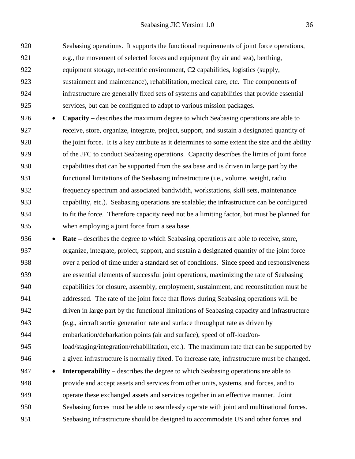Seabasing operations. It supports the functional requirements of joint force operations, e.g., the movement of selected forces and equipment (by air and sea), berthing, equipment storage, net-centric environment, C2 capabilities, logistics (supply, sustainment and maintenance), rehabilitation, medical care, etc. The components of infrastructure are generally fixed sets of systems and capabilities that provide essential services, but can be configured to adapt to various mission packages.

 • **Capacity –** describes the maximum degree to which Seabasing operations are able to receive, store, organize, integrate, project, support, and sustain a designated quantity of the joint force. It is a key attribute as it determines to some extent the size and the ability of the JFC to conduct Seabasing operations. Capacity describes the limits of joint force capabilities that can be supported from the sea base and is driven in large part by the functional limitations of the Seabasing infrastructure (i.e., volume, weight, radio frequency spectrum and associated bandwidth, workstations, skill sets, maintenance capability, etc.). Seabasing operations are scalable; the infrastructure can be configured to fit the force. Therefore capacity need not be a limiting factor, but must be planned for when employing a joint force from a sea base.

 • **Rate –** describes the degree to which Seabasing operations are able to receive, store, organize, integrate, project, support, and sustain a designated quantity of the joint force over a period of time under a standard set of conditions. Since speed and responsiveness are essential elements of successful joint operations, maximizing the rate of Seabasing capabilities for closure, assembly, employment, sustainment, and reconstitution must be addressed. The rate of the joint force that flows during Seabasing operations will be driven in large part by the functional limitations of Seabasing capacity and infrastructure (e.g., aircraft sortie generation rate and surface throughput rate as driven by embarkation/debarkation points (air and surface), speed of off-load/on- load/staging/integration/rehabilitation, etc.). The maximum rate that can be supported by a given infrastructure is normally fixed. To increase rate, infrastructure must be changed. 947 • **Interoperability** – describes the degree to which Seabasing operations are able to provide and accept assets and services from other units, systems, and forces, and to operate these exchanged assets and services together in an effective manner. Joint Seabasing forces must be able to seamlessly operate with joint and multinational forces.

Seabasing infrastructure should be designed to accommodate US and other forces and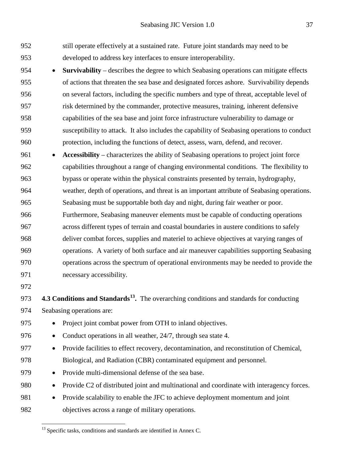still operate effectively at a sustained rate.Future joint standards may need to be developed to address key interfaces to ensure interoperability. • **Survivability** – describes the degree to which Seabasing operations can mitigate effects of actions that threaten the sea base and designated forces ashore. Survivability depends on several factors, including the specific numbers and type of threat, acceptable level of risk determined by the commander, protective measures, training, inherent defensive capabilities of the sea base and joint force infrastructure vulnerability to damage or susceptibility to attack. It also includes the capability of Seabasing operations to conduct protection, including the functions of detect, assess, warn, defend, and recover.

- **Accessibility** characterizes the ability of Seabasing operations to project joint force capabilities throughout a range of changing environmental conditions. The flexibility to bypass or operate within the physical constraints presented by terrain, hydrography, weather, depth of operations, and threat is an important attribute of Seabasing operations. Seabasing must be supportable both day and night, during fair weather or poor. Furthermore, Seabasing maneuver elements must be capable of conducting operations across different types of terrain and coastal boundaries in austere conditions to safely deliver combat forces, supplies and materiel to achieve objectives at varying ranges of operations. A variety of both surface and air maneuver capabilities supporting Seabasing operations across the spectrum of operational environments may be needed to provide the necessary accessibility.
- 

**4.3 Conditions and Standards[13](#page-36-0) .** The overarching conditions and standards for conducting Seabasing operations are:

- Project joint combat power from OTH to inland objectives.
- Conduct operations in all weather, 24/7, through sea state 4.
- Provide facilities to effect recovery, decontamination, and reconstitution of Chemical, Biological, and Radiation (CBR) contaminated equipment and personnel.
- Provide multi-dimensional defense of the sea base.
- Provide C2 of distributed joint and multinational and coordinate with interagency forces.
- <span id="page-36-0"></span> • Provide scalability to enable the JFC to achieve deployment momentum and joint objectives across a range of military operations.

<sup>&</sup>lt;sup>13</sup> Specific tasks, conditions and standards are identified in Annex C.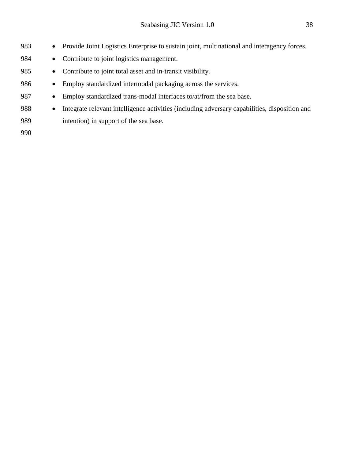| 983 | $\bullet$ | Provide Joint Logistics Enterprise to sustain joint, multinational and interagency forces.    |
|-----|-----------|-----------------------------------------------------------------------------------------------|
| 984 | $\bullet$ | Contribute to joint logistics management.                                                     |
| 985 | $\bullet$ | Contribute to joint total asset and in-transit visibility.                                    |
| 986 |           | Employ standardized intermodal packaging across the services.                                 |
| 987 | $\bullet$ | Employ standardized trans-modal interfaces to/at/from the sea base.                           |
| 988 | $\bullet$ | Integrate relevant intelligence activities (including adversary capabilities, disposition and |
| 989 |           | intention) in support of the sea base.                                                        |
| 990 |           |                                                                                               |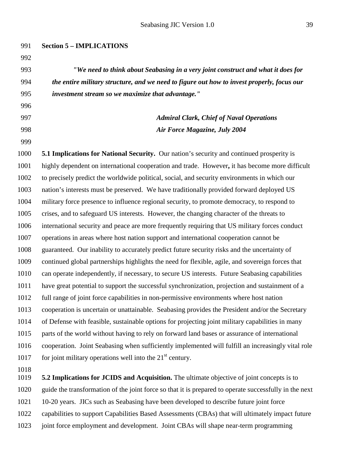**Section 5 – IMPLICATIONS** *"We need to think about Seabasing in a very joint construct and what it does for the entire military structure, and we need to figure out how to invest properly, focus our investment stream so we maximize that advantage." Admiral Clark, Chief of Naval Operations Air Force Magazine, July 2004* **5.1 Implications for National Security.** Our nation's security and continued prosperity is highly dependent on international cooperation and trade. However**,** it has become more difficult

 to precisely predict the worldwide political, social, and security environments in which our nation's interests must be preserved. We have traditionally provided forward deployed US military force presence to influence regional security, to promote democracy, to respond to crises, and to safeguard US interests. However, the changing character of the threats to international security and peace are more frequently requiring that US military forces conduct operations in areas where host nation support and international cooperation cannot be guaranteed. Our inability to accurately predict future security risks and the uncertainty of continued global partnerships highlights the need for flexible, agile, and sovereign forces that can operate independently, if necessary, to secure US interests. Future Seabasing capabilities have great potential to support the successful synchronization, projection and sustainment of a full range of joint force capabilities in non-permissive environments where host nation cooperation is uncertain or unattainable. Seabasing provides the President and/or the Secretary of Defense with feasible, sustainable options for projecting joint military capabilities in many parts of the world without having to rely on forward land bases or assurance of international cooperation. Joint Seabasing when sufficiently implemented will fulfill an increasingly vital role 1017 for joint military operations well into the  $21<sup>st</sup>$  century.

 **5.2 Implications for JCIDS and Acquisition.** The ultimate objective of joint concepts is to guide the transformation of the joint force so that it is prepared to operate successfully in the next 10-20 years. JICs such as Seabasing have been developed to describe future joint force capabilities to support Capabilities Based Assessments (CBAs) that will ultimately impact future joint force employment and development. Joint CBAs will shape near-term programming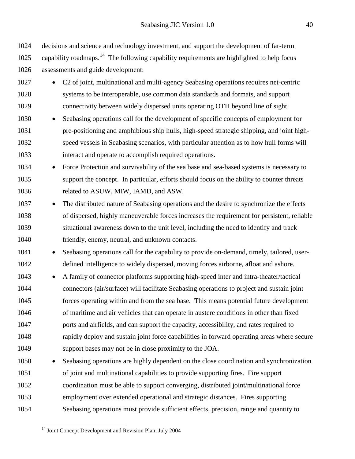decisions and science and technology investment, and support the development of far-term 1025 capability roadmaps.<sup>[14](#page-39-0)</sup> The following capability requirements are highlighted to help focus assessments and guide development:

- C2 of joint, multinational and multi-agency Seabasing operations requires net-centric systems to be interoperable, use common data standards and formats, and support connectivity between widely dispersed units operating OTH beyond line of sight.
- Seabasing operations call for the development of specific concepts of employment for pre-positioning and amphibious ship hulls, high-speed strategic shipping, and joint high- speed vessels in Seabasing scenarios, with particular attention as to how hull forms will interact and operate to accomplish required operations.
- Force Protection and survivability of the sea base and sea-based systems is necessary to support the concept. In particular, efforts should focus on the ability to counter threats related to ASUW, MIW, IAMD, and ASW.
- The distributed nature of Seabasing operations and the desire to synchronize the effects of dispersed, highly maneuverable forces increases the requirement for persistent, reliable situational awareness down to the unit level, including the need to identify and track friendly, enemy, neutral, and unknown contacts.
- Seabasing operations call for the capability to provide on-demand, timely, tailored, user-defined intelligence to widely dispersed, moving forces airborne, afloat and ashore.
- A family of connector platforms supporting high-speed inter and intra-theater/tactical connectors (air/surface) will facilitate Seabasing operations to project and sustain joint forces operating within and from the sea base. This means potential future development of maritime and air vehicles that can operate in austere conditions in other than fixed ports and airfields, and can support the capacity, accessibility, and rates required to rapidly deploy and sustain joint force capabilities in forward operating areas where secure support bases may not be in close proximity to the JOA.
- Seabasing operations are highly dependent on the close coordination and synchronization of joint and multinational capabilities to provide supporting fires. Fire support coordination must be able to support converging, distributed joint/multinational force employment over extended operational and strategic distances. Fires supporting Seabasing operations must provide sufficient effects, precision, range and quantity to
	-

<span id="page-39-0"></span><sup>&</sup>lt;sup>14</sup> Joint Concept Development and Revision Plan, July 2004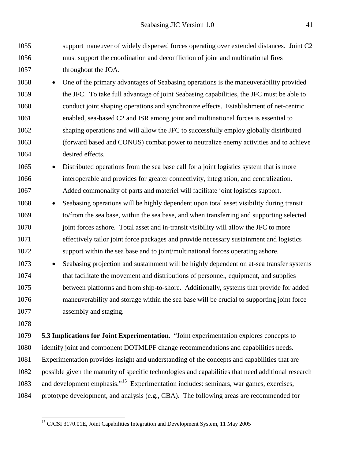support maneuver of widely dispersed forces operating over extended distances. Joint C2 must support the coordination and deconfliction of joint and multinational fires 1057 throughout the JOA.

 • One of the primary advantages of Seabasing operations is the maneuverability provided the JFC. To take full advantage of joint Seabasing capabilities, the JFC must be able to conduct joint shaping operations and synchronize effects. Establishment of net-centric enabled, sea-based C2 and ISR among joint and multinational forces is essential to shaping operations and will allow the JFC to successfully employ globally distributed (forward based and CONUS) combat power to neutralize enemy activities and to achieve desired effects.

 • Distributed operations from the sea base call for a joint logistics system that is more interoperable and provides for greater connectivity, integration, and centralization. Added commonality of parts and materiel will facilitate joint logistics support.

- Seabasing operations will be highly dependent upon total asset visibility during transit to/from the sea base, within the sea base, and when transferring and supporting selected 1070 ioint forces ashore. Total asset and in-transit visibility will allow the JFC to more effectively tailor joint force packages and provide necessary sustainment and logistics support within the sea base and to joint/multinational forces operating ashore.
- Seabasing projection and sustainment will be highly dependent on at-sea transfer systems that facilitate the movement and distributions of personnel, equipment, and supplies between platforms and from ship-to-shore. Additionally, systems that provide for added maneuverability and storage within the sea base will be crucial to supporting joint force assembly and staging.
- 

 **5.3 Implications for Joint Experimentation.** "Joint experimentation explores concepts to identify joint and component DOTMLPF change recommendations and capabilities needs. Experimentation provides insight and understanding of the concepts and capabilities that are possible given the maturity of specific technologies and capabilities that need additional research 1083 and development emphasis."<sup>[15](#page-40-0)</sup> Experimentation includes: seminars, war games, exercises, prototype development, and analysis (e.g., CBA). The following areas are recommended for

<span id="page-40-0"></span><sup>&</sup>lt;sup>15</sup> CJCSI 3170.01E, Joint Capabilities Integration and Development System, 11 May 2005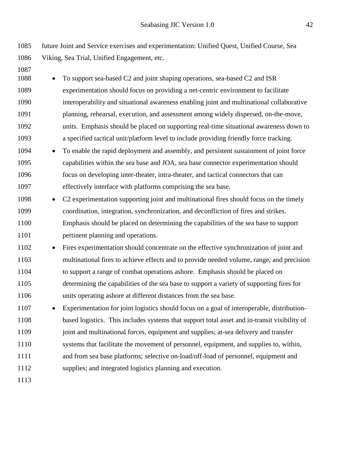future Joint and Service exercises and experimentation: Unified Quest, Unified Course, Sea Viking, Sea Trial, Unified Engagement, etc.

| 1087 |           |                                                                                              |
|------|-----------|----------------------------------------------------------------------------------------------|
| 1088 |           | To support sea-based C2 and joint shaping operations, sea-based C2 and ISR                   |
| 1089 |           | experimentation should focus on providing a net-centric environment to facilitate            |
| 1090 |           | interoperability and situational awareness enabling joint and multinational collaborative    |
| 1091 |           | planning, rehearsal, execution, and assessment among widely dispersed, on-the-move,          |
| 1092 |           | units. Emphasis should be placed on supporting real-time situational awareness down to       |
| 1093 |           | a specified tactical unit/platform level to include providing friendly force tracking.       |
| 1094 | $\bullet$ | To enable the rapid deployment and assembly, and persistent sustainment of joint force       |
| 1095 |           | capabilities within the sea base and JOA, sea base connector experimentation should          |
| 1096 |           | focus on developing inter-theater, intra-theater, and tactical connectors that can           |
| 1097 |           | effectively interface with platforms comprising the sea base.                                |
| 1098 | $\bullet$ | C2 experimentation supporting joint and multinational fires should focus on the timely       |
| 1099 |           | coordination, integration, synchronization, and deconfliction of fires and strikes.          |
| 1100 |           | Emphasis should be placed on determining the capabilities of the sea base to support         |
| 1101 |           | pertinent planning and operations.                                                           |
| 1102 | $\bullet$ | Fires experimentation should concentrate on the effective synchronization of joint and       |
| 1103 |           | multinational fires to achieve effects and to provide needed volume, range, and precision    |
| 1104 |           | to support a range of combat operations ashore. Emphasis should be placed on                 |
| 1105 |           | determining the capabilities of the sea base to support a variety of supporting fires for    |
| 1106 |           | units operating ashore at different distances from the sea base.                             |
| 1107 |           | Experimentation for joint logistics should focus on a goal of interoperable, distribution-   |
| 1108 |           | based logistics. This includes systems that support total asset and in-transit visibility of |
| 1109 |           | joint and multinational forces, equipment and supplies; at-sea delivery and transfer         |
| 1110 |           | systems that facilitate the movement of personnel, equipment, and supplies to, within,       |
| 1111 |           | and from sea base platforms; selective on-load/off-load of personnel, equipment and          |
| 1112 |           | supplies; and integrated logistics planning and execution.                                   |
| 1113 |           |                                                                                              |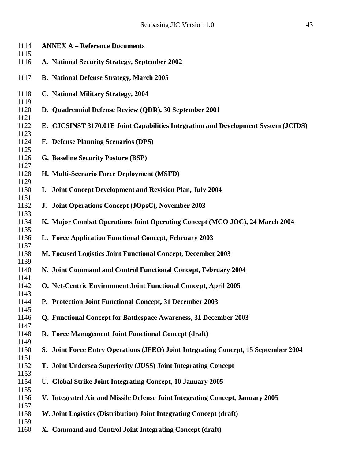| 1114                 | <b>ANNEX A - Reference Documents</b>                                                |
|----------------------|-------------------------------------------------------------------------------------|
| 1115                 |                                                                                     |
| 1116                 | A. National Security Strategy, September 2002                                       |
| 1117                 | <b>B.</b> National Defense Strategy, March 2005                                     |
| 1118                 | C. National Military Strategy, 2004                                                 |
| 1119<br>1120<br>1121 | D. Quadrennial Defense Review (QDR), 30 September 2001                              |
| 1122<br>1123         | E. CJCSINST 3170.01E Joint Capabilities Integration and Development System (JCIDS)  |
| 1124<br>1125         | F. Defense Planning Scenarios (DPS)                                                 |
| 1126<br>1127         | G. Baseline Security Posture (BSP)                                                  |
| 1128<br>1129         | H. Multi-Scenario Force Deployment (MSFD)                                           |
| 1130<br>1131         | I. Joint Concept Development and Revision Plan, July 2004                           |
| 1132<br>1133         | J. Joint Operations Concept (JOpsC), November 2003                                  |
| 1134<br>1135         | K. Major Combat Operations Joint Operating Concept (MCO JOC), 24 March 2004         |
| 1136<br>1137         | L. Force Application Functional Concept, February 2003                              |
| 1138<br>1139         | M. Focused Logistics Joint Functional Concept, December 2003                        |
| 1140<br>1141         | N. Joint Command and Control Functional Concept, February 2004                      |
| 1142<br>1143         | O. Net-Centric Environment Joint Functional Concept, April 2005                     |
| 1144<br>1145         | P. Protection Joint Functional Concept, 31 December 2003                            |
| 1146<br>1147         | <b>Q. Functional Concept for Battlespace Awareness, 31 December 2003</b>            |
| 1148<br>1149         | R. Force Management Joint Functional Concept (draft)                                |
| 1150<br>1151         | S. Joint Force Entry Operations (JFEO) Joint Integrating Concept, 15 September 2004 |
| 1152<br>1153         | T. Joint Undersea Superiority (JUSS) Joint Integrating Concept                      |
| 1154<br>1155         | U. Global Strike Joint Integrating Concept, 10 January 2005                         |
| 1156<br>1157         | V. Integrated Air and Missile Defense Joint Integrating Concept, January 2005       |
| 1158<br>1159         | W. Joint Logistics (Distribution) Joint Integrating Concept (draft)                 |
| 1160                 | X. Command and Control Joint Integrating Concept (draft)                            |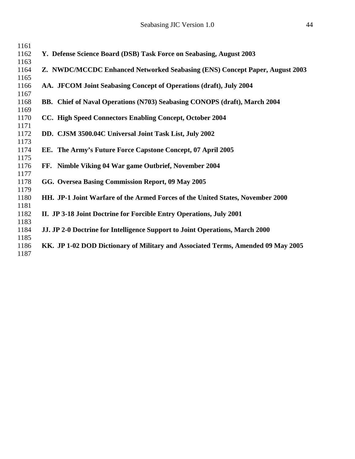| 1161 |                                                                                  |
|------|----------------------------------------------------------------------------------|
| 1162 | Y. Defense Science Board (DSB) Task Force on Seabasing, August 2003              |
| 1163 |                                                                                  |
| 1164 | Z. NWDC/MCCDC Enhanced Networked Seabasing (ENS) Concept Paper, August 2003      |
| 1165 |                                                                                  |
| 1166 | AA. JFCOM Joint Seabasing Concept of Operations (draft), July 2004               |
| 1167 |                                                                                  |
| 1168 | BB. Chief of Naval Operations (N703) Seabasing CONOPS (draft), March 2004        |
| 1169 |                                                                                  |
| 1170 | CC. High Speed Connectors Enabling Concept, October 2004                         |
| 1171 |                                                                                  |
| 1172 | DD. CJSM 3500.04C Universal Joint Task List, July 2002                           |
| 1173 |                                                                                  |
| 1174 | EE. The Army's Future Force Capstone Concept, 07 April 2005                      |
| 1175 |                                                                                  |
| 1176 | FF. Nimble Viking 04 War game Outbrief, November 2004                            |
| 1177 |                                                                                  |
| 1178 | GG. Oversea Basing Commission Report, 09 May 2005                                |
| 1179 |                                                                                  |
| 1180 | HH. JP-1 Joint Warfare of the Armed Forces of the United States, November 2000   |
| 1181 |                                                                                  |
| 1182 | II. JP 3-18 Joint Doctrine for Forcible Entry Operations, July 2001              |
| 1183 |                                                                                  |
| 1184 | JJ. JP 2-0 Doctrine for Intelligence Support to Joint Operations, March 2000     |
| 1185 |                                                                                  |
| 1186 | KK. JP 1-02 DOD Dictionary of Military and Associated Terms, Amended 09 May 2005 |
| 1187 |                                                                                  |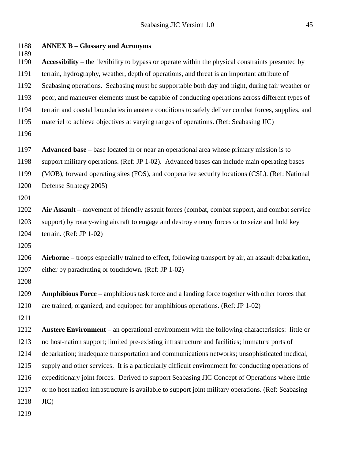| 1188<br>1189 | <b>ANNEX B – Glossary and Acronyms</b>                                                                |
|--------------|-------------------------------------------------------------------------------------------------------|
| 1190         | Accessibility – the flexibility to bypass or operate within the physical constraints presented by     |
| 1191         | terrain, hydrography, weather, depth of operations, and threat is an important attribute of           |
| 1192         | Seabasing operations. Seabasing must be supportable both day and night, during fair weather or        |
| 1193         | poor, and maneuver elements must be capable of conducting operations across different types of        |
| 1194         | terrain and coastal boundaries in austere conditions to safely deliver combat forces, supplies, and   |
| 1195         | materiel to achieve objectives at varying ranges of operations. (Ref: Seabasing JIC)                  |
| 1196         |                                                                                                       |
| 1197         | <b>Advanced base</b> – base located in or near an operational area whose primary mission is to        |
| 1198         | support military operations. (Ref: JP 1-02). Advanced bases can include main operating bases          |
| 1199         | (MOB), forward operating sites (FOS), and cooperative security locations (CSL). (Ref: National        |
| 1200         | Defense Strategy 2005)                                                                                |
| 1201         |                                                                                                       |
| 1202         | Air Assault – movement of friendly assault forces (combat, combat support, and combat service         |
| 1203         | support) by rotary-wing aircraft to engage and destroy enemy forces or to seize and hold key          |
| 1204         | terrain. (Ref: JP $1-02$ )                                                                            |
| 1205         |                                                                                                       |
| 1206         | Airborne – troops especially trained to effect, following transport by air, an assault debarkation,   |
| 1207         | either by parachuting or touchdown. (Ref: JP 1-02)                                                    |
| 1208         |                                                                                                       |
| 1209         | Amphibious Force - amphibious task force and a landing force together with other forces that          |
| 1210         | are trained, organized, and equipped for amphibious operations. (Ref: JP 1-02)                        |
| 1211         |                                                                                                       |
| 1212         | <b>Austere Environment</b> – an operational environment with the following characteristics: little or |
| 1213         | no host-nation support; limited pre-existing infrastructure and facilities; immature ports of         |
| 1214         | debarkation; inadequate transportation and communications networks; unsophisticated medical,          |
| 1215         | supply and other services. It is a particularly difficult environment for conducting operations of    |
| 1216         | expeditionary joint forces. Derived to support Seabasing JIC Concept of Operations where little       |
| 1217         | or no host nation infrastructure is available to support joint military operations. (Ref: Seabasing   |
| 1218         | $JIC$ )                                                                                               |
| 1219         |                                                                                                       |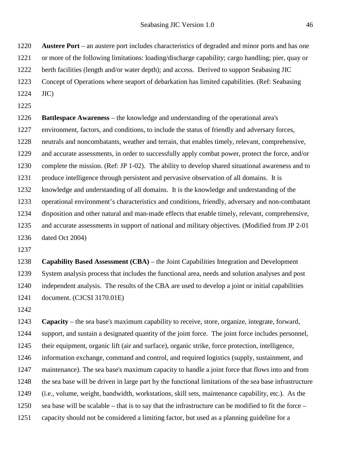**Austere Port** – an austere port includes characteristics of degraded and minor ports and has one or more of the following limitations: loading/discharge capability; cargo handling; pier, quay or 1222 berth facilities (length and/or water depth); and access. Derived to support Seabasing JIC

Concept of Operations where seaport of debarkation has limited capabilities. (Ref: Seabasing

- JIC)
- 

 **Battlespace Awareness** – the knowledge and understanding of the operational area's environment, factors, and conditions, to include the status of friendly and adversary forces, neutrals and noncombatants, weather and terrain, that enables timely, relevant, comprehensive, and accurate assessments, in order to successfully apply combat power, protect the force, and/or complete the mission. (Ref: JP 1-02). The ability to develop shared situational awareness and to 1231 produce intelligence through persistent and pervasive observation of all domains. It is knowledge and understanding of all domains. It is the knowledge and understanding of the operational environment's characteristics and conditions, friendly, adversary and non-combatant disposition and other natural and man-made effects that enable timely, relevant, comprehensive, and accurate assessments in support of national and military objectives. (Modified from JP 2-01 dated Oct 2004)

 **Capability Based Assessment (CBA)** – the Joint Capabilities Integration and Development System analysis process that includes the functional area, needs and solution analyses and post independent analysis. The results of the CBA are used to develop a joint or initial capabilities document. (CJCSI 3170.01E)

 **Capacity** – the sea base's maximum capability to receive, store, organize, integrate, forward, support, and sustain a designated quantity of the joint force. The joint force includes personnel, their equipment, organic lift (air and surface), organic strike, force protection, intelligence, information exchange, command and control, and required logistics (supply, sustainment, and maintenance). The sea base's maximum capacity to handle a joint force that flows into and from the sea base will be driven in large part by the functional limitations of the sea base infrastructure (i.e., volume, weight, bandwidth, workstations, skill sets, maintenance capability, etc.). As the sea base will be scalable – that is to say that the infrastructure can be modified to fit the force – capacity should not be considered a limiting factor, but used as a planning guideline for a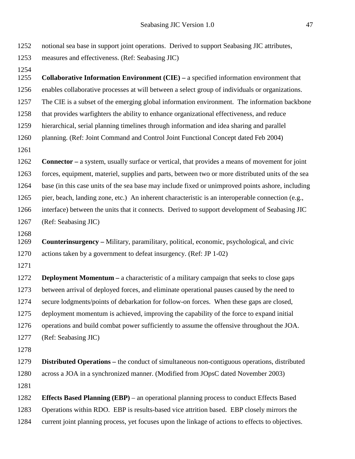notional sea base in support joint operations. Derived to support Seabasing JIC attributes, measures and effectiveness. (Ref: Seabasing JIC) **Collaborative Information Environment (CIE) –** a specified information environment that enables collaborative processes at will between a select group of individuals or organizations. The CIE is a subset of the emerging global information environment. The information backbone that provides warfighters the ability to enhance organizational effectiveness, and reduce hierarchical, serial planning timelines through information and idea sharing and parallel planning. (Ref: Joint Command and Control Joint Functional Concept dated Feb 2004) **Connector –** a system, usually surface or vertical, that provides a means of movement for joint forces, equipment, materiel, supplies and parts, between two or more distributed units of the sea base (in this case units of the sea base may include fixed or unimproved points ashore, including pier, beach, landing zone, etc.) An inherent characteristic is an interoperable connection (e.g., interface) between the units that it connects. Derived to support development of Seabasing JIC (Ref: Seabasing JIC) **Counterinsurgency –** Military, paramilitary, political, economic, psychological, and civic actions taken by a government to defeat insurgency. (Ref: JP 1-02) **Deployment Momentum –** a characteristic of a military campaign that seeks to close gaps between arrival of deployed forces, and eliminate operational pauses caused by the need to secure lodgments/points of debarkation for follow-on forces. When these gaps are closed, deployment momentum is achieved, improving the capability of the force to expand initial operations and build combat power sufficiently to assume the offensive throughout the JOA. (Ref: Seabasing JIC) **Distributed Operations –** the conduct of simultaneous non-contiguous operations, distributed across a JOA in a synchronized manner. (Modified from JOpsC dated November 2003) **Effects Based Planning (EBP)** – an operational planning process to conduct Effects Based Operations within RDO. EBP is results-based vice attrition based. EBP closely mirrors the current joint planning process, yet focuses upon the linkage of actions to effects to objectives.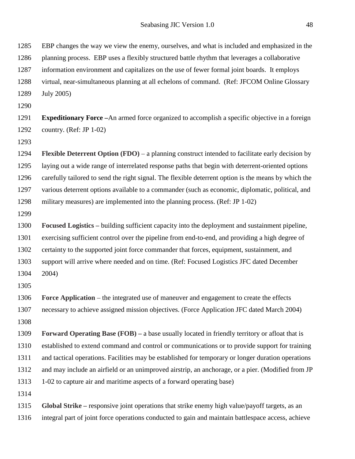EBP changes the way we view the enemy, ourselves, and what is included and emphasized in the

 planning process. EBP uses a flexibly structured battle rhythm that leverages a collaborative information environment and capitalizes on the use of fewer formal joint boards. It employs virtual, near-simultaneous planning at all echelons of command. (Ref: JFCOM Online Glossary July 2005) **Expeditionary Force –**An armed force organized to accomplish a specific objective in a foreign country. (Ref: JP 1-02) **Flexible Deterrent Option (FDO)** – a planning construct intended to facilitate early decision by laying out a wide range of interrelated response paths that begin with deterrent-oriented options carefully tailored to send the right signal. The flexible deterrent option is the means by which the various deterrent options available to a commander (such as economic, diplomatic, political, and military measures) are implemented into the planning process. (Ref: JP 1-02) **Focused Logistics –** building sufficient capacity into the deployment and sustainment pipeline, exercising sufficient control over the pipeline from end-to-end, and providing a high degree of certainty to the supported joint force commander that forces, equipment, sustainment, and support will arrive where needed and on time. (Ref: Focused Logistics JFC dated December 2004) **Force Application** – the integrated use of maneuver and engagement to create the effects necessary to achieve assigned mission objectives. (Force Application JFC dated March 2004) **Forward Operating Base (FOB) –** a base usually located in friendly territory or afloat that is established to extend command and control or communications or to provide support for training and tactical operations. Facilities may be established for temporary or longer duration operations and may include an airfield or an unimproved airstrip, an anchorage, or a pier. (Modified from JP 1-02 to capture air and maritime aspects of a forward operating base) **Global Strike –** responsive joint operations that strike enemy high value/payoff targets, as an integral part of joint force operations conducted to gain and maintain battlespace access, achieve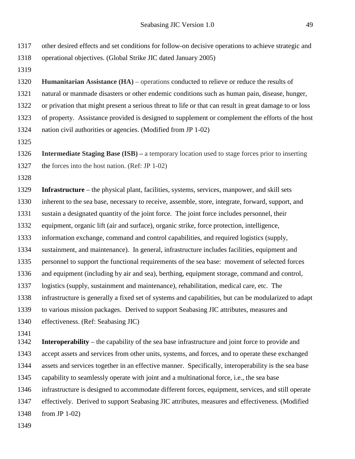| 1317         | other desired effects and set conditions for follow-on decisive operations to achieve strategic and    |
|--------------|--------------------------------------------------------------------------------------------------------|
| 1318         | operational objectives. (Global Strike JIC dated January 2005)                                         |
| 1319         |                                                                                                        |
| 1320         | <b>Humanitarian Assistance (HA)</b> – operations conducted to relieve or reduce the results of         |
| 1321         | natural or manmade disasters or other endemic conditions such as human pain, disease, hunger,          |
| 1322         | or privation that might present a serious threat to life or that can result in great damage to or loss |
| 1323         | of property. Assistance provided is designed to supplement or complement the efforts of the host       |
| 1324         | nation civil authorities or agencies. (Modified from JP 1-02)                                          |
| 1325         |                                                                                                        |
| 1326         | <b>Intermediate Staging Base (ISB)</b> – a temporary location used to stage forces prior to inserting  |
| 1327         | the forces into the host nation. (Ref: JP 1-02)                                                        |
| 1328         |                                                                                                        |
| 1329         | Infrastructure – the physical plant, facilities, systems, services, manpower, and skill sets           |
| 1330         | inherent to the sea base, necessary to receive, assemble, store, integrate, forward, support, and      |
| 1331         | sustain a designated quantity of the joint force. The joint force includes personnel, their            |
| 1332         | equipment, organic lift (air and surface), organic strike, force protection, intelligence,             |
| 1333         | information exchange, command and control capabilities, and required logistics (supply,                |
| 1334         | sustainment, and maintenance). In general, infrastructure includes facilities, equipment and           |
| 1335         | personnel to support the functional requirements of the sea base: movement of selected forces          |
| 1336         | and equipment (including by air and sea), berthing, equipment storage, command and control,            |
| 1337         | logistics (supply, sustainment and maintenance), rehabilitation, medical care, etc. The                |
| 1338         | infrastructure is generally a fixed set of systems and capabilities, but can be modularized to adapt   |
| 1339         | to various mission packages. Derived to support Seabasing JIC attributes, measures and                 |
| 1340         | effectiveness. (Ref: Seabasing JIC)                                                                    |
| 1341<br>1342 | <b>Interoperability</b> – the capability of the sea base infrastructure and joint force to provide and |
| 1343         | accept assets and services from other units, systems, and forces, and to operate these exchanged       |
| 1344         | assets and services together in an effective manner. Specifically, interoperability is the sea base    |
| 1345         | capability to seamlessly operate with joint and a multinational force, i.e., the sea base              |
| 1346         | infrastructure is designed to accommodate different forces, equipment, services, and still operate     |
| 1347         | effectively. Derived to support Seabasing JIC attributes, measures and effectiveness. (Modified        |
| 1348         | from JP $1-02$ )                                                                                       |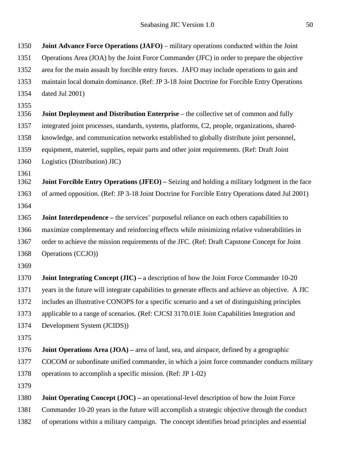**Joint Advance Force Operations (JAFO)** – military operations conducted within the Joint Operations Area (JOA) by the Joint Force Commander (JFC) in order to prepare the objective area for the main assault by forcible entry forces. JAFO may include operations to gain and maintain local domain dominance. (Ref: JP 3-18 Joint Doctrine for Forcible Entry Operations dated Jul 2001) **Joint Deployment and Distribution Enterprise** – the collective set of common and fully integrated joint processes, standards, systems, platforms, C2, people, organizations, shared- knowledge, and communication networks established to globally distribute joint personnel, equipment, materiel, supplies, repair parts and other joint requirements. (Ref: Draft Joint Logistics (Distribution) JIC) **Joint Forcible Entry Operations (JFEO) –** Seizing and holding a military lodgment in the face of armed opposition. (Ref: JP 3-18 Joint Doctrine for Forcible Entry Operations dated Jul 2001) **Joint Interdependence –** the services' purposeful reliance on each others capabilities to maximize complementary and reinforcing effects while minimizing relative vulnerabilities in order to achieve the mission requirements of the JFC. (Ref: Draft Capstone Concept for Joint Operations (CCJO)) **Joint Integrating Concept (JIC) –** a description of how the Joint Force Commander 10-20 years in the future will integrate capabilities to generate effects and achieve an objective. A JIC includes an illustrative CONOPS for a specific scenario and a set of distinguishing principles applicable to a range of scenarios. (Ref: CJCSI 3170.01E Joint Capabilities Integration and Development System (JCIDS)) **Joint Operations Area (JOA) –** area of land, sea, and airspace, defined by a geographic COCOM or subordinate unified commander, in which a joint force commander conducts military operations to accomplish a specific mission. (Ref: JP 1-02) **Joint Operating Concept (JOC) –** an operational-level description of how the Joint Force Commander 10-20 years in the future will accomplish a strategic objective through the conduct of operations within a military campaign. The concept identifies broad principles and essential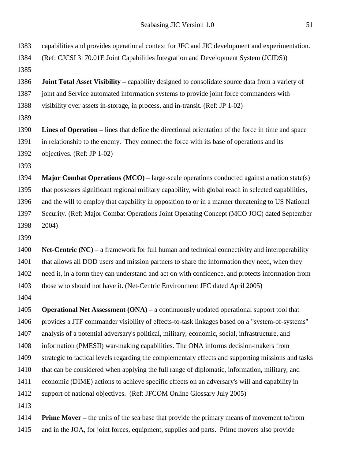| 1383 | capabilities and provides operational context for JFC and JIC development and experimentation.         |
|------|--------------------------------------------------------------------------------------------------------|
| 1384 | (Ref: CJCSI 3170.01E Joint Capabilities Integration and Development System (JCIDS))                    |
| 1385 |                                                                                                        |
| 1386 | <b>Joint Total Asset Visibility</b> – capability designed to consolidate source data from a variety of |
| 1387 | joint and Service automated information systems to provide joint force commanders with                 |
| 1388 | visibility over assets in-storage, in process, and in-transit. (Ref: JP 1-02)                          |
| 1389 |                                                                                                        |
| 1390 | Lines of Operation – lines that define the directional orientation of the force in time and space      |
| 1391 | in relationship to the enemy. They connect the force with its base of operations and its               |
| 1392 | objectives. (Ref: JP 1-02)                                                                             |
| 1393 |                                                                                                        |
| 1394 | <b>Major Combat Operations (MCO)</b> – large-scale operations conducted against a nation state(s)      |
| 1395 | that possesses significant regional military capability, with global reach in selected capabilities,   |
| 1396 | and the will to employ that capability in opposition to or in a manner threatening to US National      |
| 1397 | Security. (Ref: Major Combat Operations Joint Operating Concept (MCO JOC) dated September              |
| 1398 | 2004)                                                                                                  |
| 1399 |                                                                                                        |
| 1400 | Net-Centric $(NC)$ – a framework for full human and technical connectivity and interoperability        |
| 1401 | that allows all DOD users and mission partners to share the information they need, when they           |
| 1402 | need it, in a form they can understand and act on with confidence, and protects information from       |
| 1403 | those who should not have it. (Net-Centric Environment JFC dated April 2005)                           |
| 1404 |                                                                                                        |
| 1405 | <b>Operational Net Assessment (ONA)</b> – a continuously updated operational support tool that         |
| 1406 | provides a JTF commander visibility of effects-to-task linkages based on a "system-of-systems"         |
| 1407 | analysis of a potential adversary's political, military, economic, social, infrastructure, and         |
| 1408 | information (PMESII) war-making capabilities. The ONA informs decision-makers from                     |
| 1409 | strategic to tactical levels regarding the complementary effects and supporting missions and tasks     |
| 1410 | that can be considered when applying the full range of diplomatic, information, military, and          |
| 1411 | economic (DIME) actions to achieve specific effects on an adversary's will and capability in           |
| 1412 | support of national objectives. (Ref: JFCOM Online Glossary July 2005)                                 |
| 1413 |                                                                                                        |
| 1414 | <b>Prime Mover</b> – the units of the sea base that provide the primary means of movement to/from      |
| 1415 | and in the JOA, for joint forces, equipment, supplies and parts. Prime movers also provide             |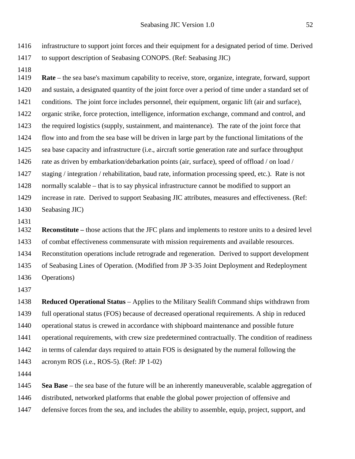infrastructure to support joint forces and their equipment for a designated period of time. Derived to support description of Seabasing CONOPS. (Ref: Seabasing JIC)

 **Rate** – the sea base's maximum capability to receive, store, organize, integrate, forward, support and sustain, a designated quantity of the joint force over a period of time under a standard set of conditions. The joint force includes personnel, their equipment, organic lift (air and surface), organic strike, force protection, intelligence, information exchange, command and control, and the required logistics (supply, sustainment, and maintenance). The rate of the joint force that flow into and from the sea base will be driven in large part by the functional limitations of the sea base capacity and infrastructure (i.e., aircraft sortie generation rate and surface throughput rate as driven by embarkation/debarkation points (air, surface), speed of offload / on load / staging / integration / rehabilitation, baud rate, information processing speed, etc.). Rate is not normally scalable – that is to say physical infrastructure cannot be modified to support an increase in rate. Derived to support Seabasing JIC attributes, measures and effectiveness. (Ref: Seabasing JIC) 

 **Reconstitute –** those actions that the JFC plans and implements to restore units to a desired level of combat effectiveness commensurate with mission requirements and available resources. Reconstitution operations include retrograde and regeneration. Derived to support development of Seabasing Lines of Operation. (Modified from JP 3-35 Joint Deployment and Redeployment

Operations)

 **Reduced Operational Status** – Applies to the Military Sealift Command ships withdrawn from full operational status (FOS) because of decreased operational requirements. A ship in reduced operational status is crewed in accordance with shipboard maintenance and possible future operational requirements, with crew size predetermined contractually. The condition of readiness in terms of calendar days required to attain FOS is designated by the numeral following the acronym ROS (i.e., ROS-5). (Ref: JP 1-02)

**Sea Base** – the sea base of the future will be an inherently maneuverable, scalable aggregation of

distributed, networked platforms that enable the global power projection of offensive and

defensive forces from the sea, and includes the ability to assemble, equip, project, support, and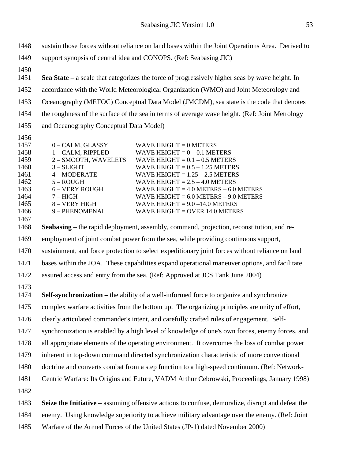sustain those forces without reliance on land bases within the Joint Operations Area. Derived to support synopsis of central idea and CONOPS. (Ref: Seabasing JIC) **Sea State** – a scale that categorizes the force of progressively higher seas by wave height. In accordance with the World Meteorological Organization (WMO) and Joint Meteorology and Oceanography (METOC) Conceptual Data Model (JMCDM), sea state is the code that denotes the roughness of the surface of the sea in terms of average wave height. (Ref: Joint Metrology and Oceanography Conceptual Data Model) 0 – CALM, GLASSY WAVE HEIGHT = 0 METERS 1458 1 – CALM, RIPPLED WAVE HEIGHT = 0 – 0.1 METERS 2 – SMOOTH, WAVELETS WAVE HEIGHT = 0.1 – 0.5 METERS  $1460 \qquad \qquad 3$  – SLIGHT WAVE HEIGHT =  $0.5 - 1.25$  METERS 4 – MODERATE WAVE HEIGHT = 1.25 – 2.5 METERS 1462 5 – ROUGH WAVE HEIGHT = 2.5 – 4.0 METERS<br>1463 6 – VERY ROUGH WAVE HEIGHT = 4.0 METERS – 6.0  $6 - VERY$  ROUGH WAVE HEIGHT = 4.0 METERS – 6.0 METERS 1464 7 – HIGH WAVE HEIGHT = 6.0 METERS – 9.0 METERS<br>1465 8 – VERY HIGH WAVE HEIGHT = 9.0 –14.0 METERS WAVE HEIGHT  $= 9.0 - 14.0$  METERS 9 – PHENOMENAL WAVE HEIGHT = OVER 14.0 METERS **Seabasing** – the rapid deployment, assembly, command, projection, reconstitution, and re- employment of joint combat power from the sea, while providing continuous support, sustainment, and force protection to select expeditionary joint forces without reliance on land bases within the JOA. These capabilities expand operational maneuver options, and facilitate assured access and entry from the sea. (Ref: Approved at JCS Tank June 2004)

- **Self-synchronization –** the ability of a well-informed force to organize and synchronize
- complex warfare activities from the bottom up. The organizing principles are unity of effort,
- clearly articulated commander's intent, and carefully crafted rules of engagement. Self-
- synchronization is enabled by a high level of knowledge of one's own forces, enemy forces, and
- all appropriate elements of the operating environment. It overcomes the loss of combat power
- inherent in top-down command directed synchronization characteristic of more conventional
- doctrine and converts combat from a step function to a high-speed continuum. (Ref: Network-
- Centric Warfare: Its Origins and Future, VADM Arthur Cebrowski, Proceedings, January 1998)
- 

 **Seize the Initiative** – assuming offensive actions to confuse, demoralize, disrupt and defeat the enemy. Using knowledge superiority to achieve military advantage over the enemy. (Ref: Joint Warfare of the Armed Forces of the United States (JP-1) dated November 2000)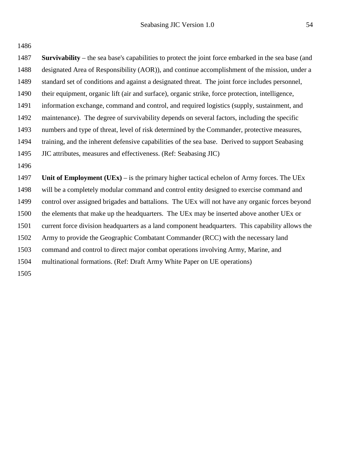| 1486 |                                                                                                             |
|------|-------------------------------------------------------------------------------------------------------------|
| 1487 | <b>Survivability</b> – the sea base's capabilities to protect the joint force embarked in the sea base (and |
| 1488 | designated Area of Responsibility (AOR)), and continue accomplishment of the mission, under a               |
| 1489 | standard set of conditions and against a designated threat. The joint force includes personnel,             |
| 1490 | their equipment, organic lift (air and surface), organic strike, force protection, intelligence,            |
| 1491 | information exchange, command and control, and required logistics (supply, sustainment, and                 |
| 1492 | maintenance). The degree of survivability depends on several factors, including the specific                |
| 1493 | numbers and type of threat, level of risk determined by the Commander, protective measures,                 |
| 1494 | training, and the inherent defensive capabilities of the sea base. Derived to support Seabasing             |
| 1495 | JIC attributes, measures and effectiveness. (Ref: Seabasing JIC)                                            |
| 1496 |                                                                                                             |
| 1497 | Unit of Employment (UEx) – is the primary higher tactical echelon of Army forces. The UEx                   |
| 1498 | will be a completely modular command and control entity designed to exercise command and                    |
| 1499 | control over assigned brigades and battalions. The UEx will not have any organic forces beyond              |
| 1500 | the elements that make up the headquarters. The UEx may be inserted above another UEx or                    |
| 1501 | current force division headquarters as a land component headquarters. This capability allows the            |
| 1502 | Army to provide the Geographic Combatant Commander (RCC) with the necessary land                            |
| 1503 | command and control to direct major combat operations involving Army, Marine, and                           |
| 1504 | multinational formations. (Ref: Draft Army White Paper on UE operations)                                    |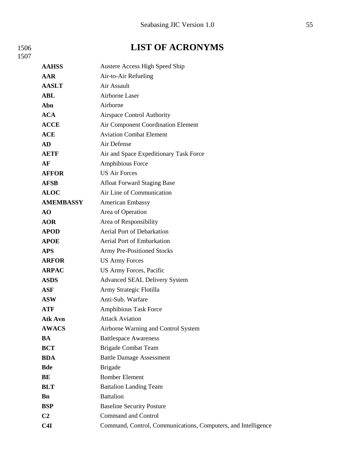### 1506 **LIST OF ACRONYMS**

| <b>AAHSS</b>     | <b>Austere Access High Speed Ship</b>                         |
|------------------|---------------------------------------------------------------|
| AAR              | Air-to-Air Refueling                                          |
| <b>AASLT</b>     | Air Assault                                                   |
| <b>ABL</b>       | <b>Airborne Laser</b>                                         |
| Abn              | Airborne                                                      |
| <b>ACA</b>       | <b>Airspace Control Authority</b>                             |
| <b>ACCE</b>      | Air Component Coordination Element                            |
| <b>ACE</b>       | <b>Aviation Combat Element</b>                                |
| <b>AD</b>        | Air Defense                                                   |
| <b>AETF</b>      | Air and Space Expeditionary Task Force                        |
| AF               | Amphibious Force                                              |
| <b>AFFOR</b>     | <b>US Air Forces</b>                                          |
| <b>AFSB</b>      | <b>Afloat Forward Staging Base</b>                            |
| <b>ALOC</b>      | Air Line of Communication                                     |
| <b>AMEMBASSY</b> | American Embassy                                              |
| AO               | Area of Operation                                             |
| <b>AOR</b>       | Area of Responsibility                                        |
| <b>APOD</b>      | Aerial Port of Debarkation                                    |
| <b>APOE</b>      | <b>Aerial Port of Embarkation</b>                             |
| <b>APS</b>       | <b>Army Pre-Positioned Stocks</b>                             |
| <b>ARFOR</b>     | <b>US Army Forces</b>                                         |
| <b>ARPAC</b>     | US Army Forces, Pacific                                       |
| <b>ASDS</b>      | <b>Advanced SEAL Delivery System</b>                          |
| <b>ASF</b>       | Army Strategic Flotilla                                       |
| <b>ASW</b>       | Anti-Sub. Warfare                                             |
| <b>ATF</b>       | <b>Amphibious Task Force</b>                                  |
| Atk Avn          | <b>Attack Aviation</b>                                        |
| <b>AWACS</b>     | Airborne Warning and Control System                           |
| <b>BA</b>        | <b>Battlespace Awareness</b>                                  |
| <b>BCT</b>       | <b>Brigade Combat Team</b>                                    |
| <b>BDA</b>       | <b>Battle Damage Assessment</b>                               |
| <b>Bde</b>       | <b>Brigade</b>                                                |
| BE               | <b>Bomber Element</b>                                         |
| <b>BLT</b>       | <b>Battalion Landing Team</b>                                 |
| <b>Bn</b>        | <b>Battalion</b>                                              |
| <b>BSP</b>       | <b>Baseline Security Posture</b>                              |
| C <sub>2</sub>   | <b>Command and Control</b>                                    |
| C4I              | Command, Control, Communications, Computers, and Intelligence |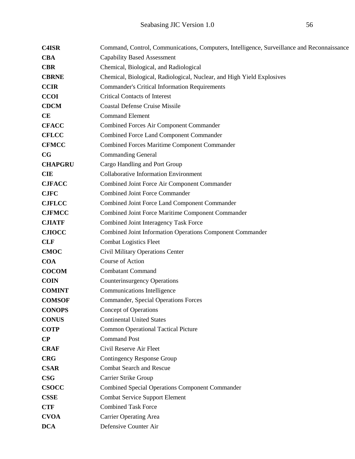| <b>C4ISR</b>   | Command, Control, Communications, Computers, Intelligence, Surveillance and Reconnaissance |  |
|----------------|--------------------------------------------------------------------------------------------|--|
| <b>CBA</b>     | <b>Capability Based Assessment</b>                                                         |  |
| <b>CBR</b>     | Chemical, Biological, and Radiological                                                     |  |
| <b>CBRNE</b>   | Chemical, Biological, Radiological, Nuclear, and High Yield Explosives                     |  |
| <b>CCIR</b>    | <b>Commander's Critical Information Requirements</b>                                       |  |
| <b>CCOI</b>    | <b>Critical Contacts of Interest</b>                                                       |  |
| <b>CDCM</b>    | <b>Coastal Defense Cruise Missile</b>                                                      |  |
| <b>CE</b>      | <b>Command Element</b>                                                                     |  |
| <b>CFACC</b>   | <b>Combined Forces Air Component Commander</b>                                             |  |
| <b>CFLCC</b>   | <b>Combined Force Land Component Commander</b>                                             |  |
| <b>CFMCC</b>   | <b>Combined Forces Maritime Component Commander</b>                                        |  |
| CG             | <b>Commanding General</b>                                                                  |  |
| <b>CHAPGRU</b> | Cargo Handling and Port Group                                                              |  |
| <b>CIE</b>     | <b>Collaborative Information Environment</b>                                               |  |
| <b>CJFACC</b>  | Combined Joint Force Air Component Commander                                               |  |
| <b>CJFC</b>    | <b>Combined Joint Force Commander</b>                                                      |  |
| <b>CJFLCC</b>  | Combined Joint Force Land Component Commander                                              |  |
| <b>CJFMCC</b>  | Combined Joint Force Maritime Component Commander                                          |  |
| <b>CJIATF</b>  | Combined Joint Interagency Task Force                                                      |  |
| <b>CJIOCC</b>  | Combined Joint Information Operations Component Commander                                  |  |
| <b>CLF</b>     | <b>Combat Logistics Fleet</b>                                                              |  |
| <b>CMOC</b>    | Civil Military Operations Center                                                           |  |
| <b>COA</b>     | Course of Action                                                                           |  |
| <b>COCOM</b>   | <b>Combatant Command</b>                                                                   |  |
| <b>COIN</b>    | <b>Counterinsurgency Operations</b>                                                        |  |
| <b>COMINT</b>  | Communications Intelligence                                                                |  |
| <b>COMSOF</b>  | <b>Commander, Special Operations Forces</b>                                                |  |
| <b>CONOPS</b>  | Concept of Operations                                                                      |  |
| <b>CONUS</b>   | <b>Continental United States</b>                                                           |  |
| <b>COTP</b>    | <b>Common Operational Tactical Picture</b>                                                 |  |
| $\bf CP$       | <b>Command Post</b>                                                                        |  |
| <b>CRAF</b>    | Civil Reserve Air Fleet                                                                    |  |
| <b>CRG</b>     | <b>Contingency Response Group</b>                                                          |  |
| <b>CSAR</b>    | <b>Combat Search and Rescue</b>                                                            |  |
| <b>CSG</b>     | Carrier Strike Group                                                                       |  |
| <b>CSOCC</b>   | <b>Combined Special Operations Component Commander</b>                                     |  |
| <b>CSSE</b>    | <b>Combat Service Support Element</b>                                                      |  |
| <b>CTF</b>     | <b>Combined Task Force</b>                                                                 |  |
| <b>CVOA</b>    | <b>Carrier Operating Area</b>                                                              |  |
| <b>DCA</b>     | Defensive Counter Air                                                                      |  |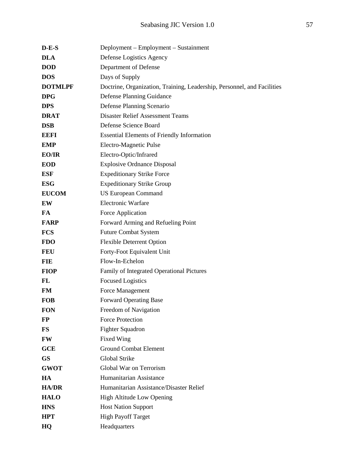| $D-E-S$        | Deployment – Employment – Sustainment                                   |
|----------------|-------------------------------------------------------------------------|
| <b>DLA</b>     | Defense Logistics Agency                                                |
| <b>DOD</b>     | Department of Defense                                                   |
| <b>DOS</b>     | Days of Supply                                                          |
| <b>DOTMLPF</b> | Doctrine, Organization, Training, Leadership, Personnel, and Facilities |
| <b>DPG</b>     | <b>Defense Planning Guidance</b>                                        |
| <b>DPS</b>     | Defense Planning Scenario                                               |
| <b>DRAT</b>    | <b>Disaster Relief Assessment Teams</b>                                 |
| <b>DSB</b>     | Defense Science Board                                                   |
| <b>EEFI</b>    | <b>Essential Elements of Friendly Information</b>                       |
| <b>EMP</b>     | Electro-Magnetic Pulse                                                  |
| EO/IR          | Electro-Optic/Infrared                                                  |
| <b>EOD</b>     | <b>Explosive Ordnance Disposal</b>                                      |
| <b>ESF</b>     | <b>Expeditionary Strike Force</b>                                       |
| <b>ESG</b>     | <b>Expeditionary Strike Group</b>                                       |
| <b>EUCOM</b>   | <b>US European Command</b>                                              |
| EW             | <b>Electronic Warfare</b>                                               |
| FA             | Force Application                                                       |
| <b>FARP</b>    | Forward Arming and Refueling Point                                      |
| <b>FCS</b>     | <b>Future Combat System</b>                                             |
| <b>FDO</b>     | <b>Flexible Deterrent Option</b>                                        |
| <b>FEU</b>     | Forty-Foot Equivalent Unit                                              |
| <b>FIE</b>     | Flow-In-Echelon                                                         |
| <b>FIOP</b>    | Family of Integrated Operational Pictures                               |
| FL             | <b>Focused Logistics</b>                                                |
| <b>FM</b>      | Force Management                                                        |
| <b>FOB</b>     | <b>Forward Operating Base</b>                                           |
| <b>FON</b>     | Freedom of Navigation                                                   |
| $\bf FP$       | <b>Force Protection</b>                                                 |
| <b>FS</b>      | <b>Fighter Squadron</b>                                                 |
| <b>FW</b>      | Fixed Wing                                                              |
| <b>GCE</b>     | <b>Ground Combat Element</b>                                            |
| <b>GS</b>      | <b>Global Strike</b>                                                    |
| <b>GWOT</b>    | Global War on Terrorism                                                 |
| HA             | Humanitarian Assistance                                                 |
| <b>HA/DR</b>   | Humanitarian Assistance/Disaster Relief                                 |
| <b>HALO</b>    | <b>High Altitude Low Opening</b>                                        |
| <b>HNS</b>     | <b>Host Nation Support</b>                                              |
| <b>HPT</b>     | <b>High Payoff Target</b>                                               |
| HQ             | Headquarters                                                            |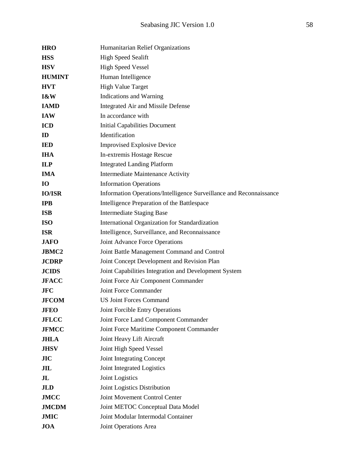| <b>HRO</b>     | Humanitarian Relief Organizations                                   |
|----------------|---------------------------------------------------------------------|
| <b>HSS</b>     | <b>High Speed Sealift</b>                                           |
| <b>HSV</b>     | <b>High Speed Vessel</b>                                            |
| <b>HUMINT</b>  | Human Intelligence                                                  |
| <b>HVT</b>     | <b>High Value Target</b>                                            |
| 1&W            | Indications and Warning                                             |
| <b>IAMD</b>    | Integrated Air and Missile Defense                                  |
| <b>IAW</b>     | In accordance with                                                  |
| <b>ICD</b>     | <b>Initial Capabilities Document</b>                                |
| ID             | Identification                                                      |
| <b>IED</b>     | <b>Improvised Explosive Device</b>                                  |
| <b>IHA</b>     | In-extremis Hostage Rescue                                          |
| <b>ILP</b>     | <b>Integrated Landing Platform</b>                                  |
| <b>IMA</b>     | Intermediate Maintenance Activity                                   |
| <b>IO</b>      | <b>Information Operations</b>                                       |
| <b>IO/ISR</b>  | Information Operations/Intelligence Surveillance and Reconnaissance |
| <b>IPB</b>     | Intelligence Preparation of the Battlespace                         |
| <b>ISB</b>     | <b>Intermediate Staging Base</b>                                    |
| <b>ISO</b>     | International Organization for Standardization                      |
| <b>ISR</b>     | Intelligence, Surveillance, and Reconnaissance                      |
| <b>JAFO</b>    | Joint Advance Force Operations                                      |
| <b>JBMC2</b>   | Joint Battle Management Command and Control                         |
| <b>JCDRP</b>   | Joint Concept Development and Revision Plan                         |
| <b>JCIDS</b>   | Joint Capabilities Integration and Development System               |
| <b>JFACC</b>   | Joint Force Air Component Commander                                 |
| <b>JFC</b>     | Joint Force Commander                                               |
| <b>JFCOM</b>   | <b>US Joint Forces Command</b>                                      |
| <b>JFEO</b>    | Joint Forcible Entry Operations                                     |
| <b>JFLCC</b>   | Joint Force Land Component Commander                                |
| <b>JFMCC</b>   | Joint Force Maritime Component Commander                            |
| <b>JHLA</b>    | Joint Heavy Lift Aircraft                                           |
| <b>JHSV</b>    | Joint High Speed Vessel                                             |
| JIC            | Joint Integrating Concept                                           |
| JIL            | Joint Integrated Logistics                                          |
| J <sub>L</sub> | Joint Logistics                                                     |
| <b>JLD</b>     | Joint Logistics Distribution                                        |
| <b>JMCC</b>    | Joint Movement Control Center                                       |
| <b>JMCDM</b>   | Joint METOC Conceptual Data Model                                   |
| <b>JMIC</b>    | Joint Modular Intermodal Container                                  |
| <b>JOA</b>     | Joint Operations Area                                               |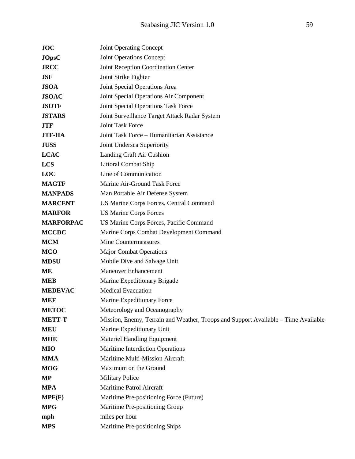| <b>JOC</b>       | <b>Joint Operating Concept</b>                                                     |
|------------------|------------------------------------------------------------------------------------|
| <b>JOpsC</b>     | Joint Operations Concept                                                           |
| <b>JRCC</b>      | Joint Reception Coordination Center                                                |
| <b>JSF</b>       | Joint Strike Fighter                                                               |
| <b>JSOA</b>      | Joint Special Operations Area                                                      |
| <b>JSOAC</b>     | Joint Special Operations Air Component                                             |
| <b>JSOTF</b>     | Joint Special Operations Task Force                                                |
| <b>JSTARS</b>    | Joint Surveillance Target Attack Radar System                                      |
| <b>JTF</b>       | Joint Task Force                                                                   |
| <b>JTF-HA</b>    | Joint Task Force - Humanitarian Assistance                                         |
| <b>JUSS</b>      | Joint Undersea Superiority                                                         |
| <b>LCAC</b>      | Landing Craft Air Cushion                                                          |
| <b>LCS</b>       | <b>Littoral Combat Ship</b>                                                        |
| LOC              | Line of Communication                                                              |
| <b>MAGTF</b>     | Marine Air-Ground Task Force                                                       |
| <b>MANPADS</b>   | Man Portable Air Defense System                                                    |
| <b>MARCENT</b>   | US Marine Corps Forces, Central Command                                            |
| <b>MARFOR</b>    | <b>US Marine Corps Forces</b>                                                      |
| <b>MARFORPAC</b> | US Marine Corps Forces, Pacific Command                                            |
| <b>MCCDC</b>     | Marine Corps Combat Development Command                                            |
| <b>MCM</b>       | <b>Mine Countermeasures</b>                                                        |
| <b>MCO</b>       | <b>Major Combat Operations</b>                                                     |
| <b>MDSU</b>      | Mobile Dive and Salvage Unit                                                       |
| MЕ               | <b>Maneuver Enhancement</b>                                                        |
| <b>MEB</b>       | Marine Expeditionary Brigade                                                       |
| <b>MEDEVAC</b>   | <b>Medical Evacuation</b>                                                          |
| <b>MEF</b>       | Marine Expeditionary Force                                                         |
| <b>METOC</b>     | Meteorology and Oceanography                                                       |
| <b>METT-T</b>    | Mission, Enemy, Terrain and Weather, Troops and Support Available – Time Available |
| <b>MEU</b>       | Marine Expeditionary Unit                                                          |
| <b>MHE</b>       | <b>Materiel Handling Equipment</b>                                                 |
| <b>MIO</b>       | Maritime Interdiction Operations                                                   |
| <b>MMA</b>       | Maritime Multi-Mission Aircraft                                                    |
| <b>MOG</b>       | Maximum on the Ground                                                              |
| MP               | <b>Military Police</b>                                                             |
| <b>MPA</b>       | Maritime Patrol Aircraft                                                           |
| MPF(F)           | Maritime Pre-positioning Force (Future)                                            |
| <b>MPG</b>       | Maritime Pre-positioning Group                                                     |
| mph              | miles per hour                                                                     |
| <b>MPS</b>       | Maritime Pre-positioning Ships                                                     |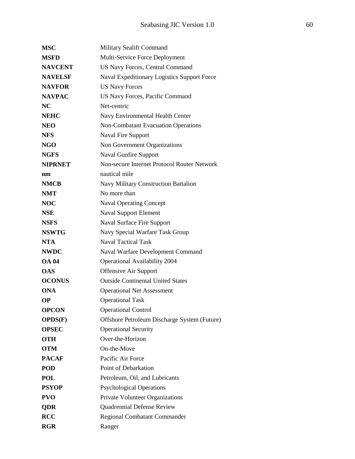| <b>MSC</b>     | <b>Military Sealift Command</b>              |
|----------------|----------------------------------------------|
| <b>MSFD</b>    | Multi-Service Force Deployment               |
| <b>NAVCENT</b> | <b>US Navy Forces, Central Command</b>       |
| <b>NAVELSF</b> | Naval Expeditionary Logistics Support Force  |
| <b>NAVFOR</b>  | <b>US Navy Forces</b>                        |
| <b>NAVPAC</b>  | US Navy Forces, Pacific Command              |
| <b>NC</b>      | Net-centric                                  |
| <b>NEHC</b>    | Navy Environmental Health Center             |
| <b>NEO</b>     | <b>Non-Combatant Evacuation Operations</b>   |
| <b>NFS</b>     | <b>Naval Fire Support</b>                    |
| <b>NGO</b>     | Non Government Organizations                 |
| <b>NGFS</b>    | <b>Naval Gunfire Support</b>                 |
| <b>NIPRNET</b> | Non-secure Internet Protocol Router Network  |
| nm             | nautical mile                                |
| <b>NMCB</b>    | Navy Military Construction Battalion         |
| <b>NMT</b>     | No more than                                 |
| <b>NOC</b>     | <b>Naval Operating Concept</b>               |
| <b>NSE</b>     | <b>Naval Support Element</b>                 |
| <b>NSFS</b>    | <b>Naval Surface Fire Support</b>            |
| <b>NSWTG</b>   | Navy Special Warfare Task Group              |
| <b>NTA</b>     | <b>Naval Tactical Task</b>                   |
| <b>NWDC</b>    | Naval Warfare Development Command            |
| <b>OA 04</b>   | <b>Operational Availability 2004</b>         |
| <b>OAS</b>     | <b>Offensive Air Support</b>                 |
| <b>OCONUS</b>  | <b>Outside Continental United States</b>     |
| <b>ONA</b>     | <b>Operational Net Assessment</b>            |
| <b>OP</b>      | <b>Operational Task</b>                      |
| <b>OPCON</b>   | <b>Operational Control</b>                   |
| OPDS(F)        | Offshore Petroleum Discharge System (Future) |
| <b>OPSEC</b>   | <b>Operational Security</b>                  |
| <b>OTH</b>     | Over-the-Horizon                             |
| <b>OTM</b>     | On-the-Move                                  |
| <b>PACAF</b>   | Pacific Air Force                            |
| <b>POD</b>     | Point of Debarkation                         |
| POL            | Petroleum, Oil, and Lubricants               |
| <b>PSYOP</b>   | <b>Psychological Operations</b>              |
| <b>PVO</b>     | Private Volunteer Organizations              |
| <b>QDR</b>     | <b>Quadrennial Defense Review</b>            |
| <b>RCC</b>     | <b>Regional Combatant Commander</b>          |
| <b>RGR</b>     | Ranger                                       |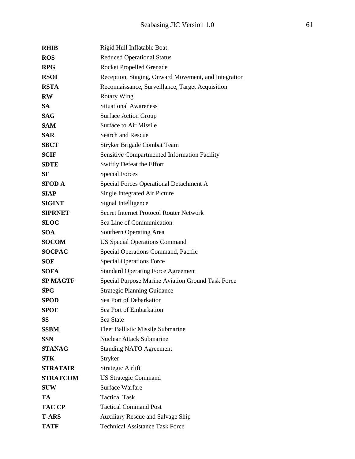| <b>RHIB</b>     | Rigid Hull Inflatable Boat                           |
|-----------------|------------------------------------------------------|
| <b>ROS</b>      | <b>Reduced Operational Status</b>                    |
| <b>RPG</b>      | <b>Rocket Propelled Grenade</b>                      |
| <b>RSOI</b>     | Reception, Staging, Onward Movement, and Integration |
| <b>RSTA</b>     | Reconnaissance, Surveillance, Target Acquisition     |
| <b>RW</b>       | <b>Rotary Wing</b>                                   |
| <b>SA</b>       | <b>Situational Awareness</b>                         |
| <b>SAG</b>      | <b>Surface Action Group</b>                          |
| <b>SAM</b>      | <b>Surface to Air Missile</b>                        |
| <b>SAR</b>      | <b>Search and Rescue</b>                             |
| <b>SBCT</b>     | Stryker Brigade Combat Team                          |
| <b>SCIF</b>     | <b>Sensitive Compartmented Information Facility</b>  |
| <b>SDTE</b>     | Swiftly Defeat the Effort                            |
| SF              | <b>Special Forces</b>                                |
| <b>SFOD A</b>   | Special Forces Operational Detachment A              |
| <b>SIAP</b>     | Single Integrated Air Picture                        |
| <b>SIGINT</b>   | Signal Intelligence                                  |
| <b>SIPRNET</b>  | Secret Internet Protocol Router Network              |
| <b>SLOC</b>     | Sea Line of Communication                            |
| <b>SOA</b>      | Southern Operating Area                              |
| <b>SOCOM</b>    | <b>US Special Operations Command</b>                 |
| <b>SOCPAC</b>   | Special Operations Command, Pacific                  |
| <b>SOF</b>      | <b>Special Operations Force</b>                      |
| <b>SOFA</b>     | <b>Standard Operating Force Agreement</b>            |
| <b>SP MAGTF</b> | Special Purpose Marine Aviation Ground Task Force    |
| <b>SPG</b>      | <b>Strategic Planning Guidance</b>                   |
| <b>SPOD</b>     | Sea Port of Debarkation                              |
| <b>SPOE</b>     | Sea Port of Embarkation                              |
| <b>SS</b>       | Sea State                                            |
| <b>SSBM</b>     | <b>Fleet Ballistic Missile Submarine</b>             |
| <b>SSN</b>      | <b>Nuclear Attack Submarine</b>                      |
| <b>STANAG</b>   | <b>Standing NATO Agreement</b>                       |
| <b>STK</b>      | Stryker                                              |
| <b>STRATAIR</b> | Strategic Airlift                                    |
| <b>STRATCOM</b> | <b>US Strategic Command</b>                          |
| <b>SUW</b>      | <b>Surface Warfare</b>                               |
| TA              | <b>Tactical Task</b>                                 |
| <b>TAC CP</b>   | <b>Tactical Command Post</b>                         |
| <b>T-ARS</b>    | Auxiliary Rescue and Salvage Ship                    |
| <b>TATF</b>     | <b>Technical Assistance Task Force</b>               |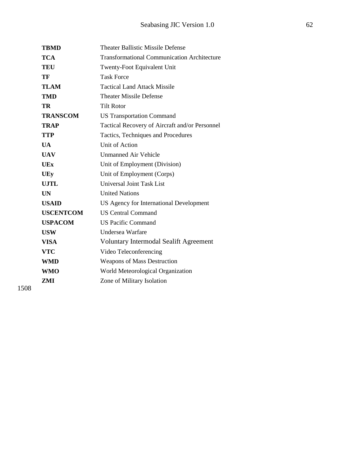| <b>TBMD</b>      | <b>Theater Ballistic Missile Defense</b>           |
|------------------|----------------------------------------------------|
| <b>TCA</b>       | <b>Transformational Communication Architecture</b> |
| <b>TEU</b>       | Twenty-Foot Equivalent Unit                        |
| TF               | <b>Task Force</b>                                  |
| <b>TLAM</b>      | <b>Tactical Land Attack Missile</b>                |
| <b>TMD</b>       | <b>Theater Missile Defense</b>                     |
| TR               | <b>Tilt Rotor</b>                                  |
| <b>TRANSCOM</b>  | <b>US Transportation Command</b>                   |
| <b>TRAP</b>      | Tactical Recovery of Aircraft and/or Personnel     |
| <b>TTP</b>       | Tactics, Techniques and Procedures                 |
| <b>UA</b>        | Unit of Action                                     |
| <b>UAV</b>       | <b>Unmanned Air Vehicle</b>                        |
| UEx              | Unit of Employment (Division)                      |
| <b>UEy</b>       | Unit of Employment (Corps)                         |
| <b>UJTL</b>      | Universal Joint Task List                          |
| <b>UN</b>        | <b>United Nations</b>                              |
| <b>USAID</b>     | US Agency for International Development            |
| <b>USCENTCOM</b> | <b>US Central Command</b>                          |
| <b>USPACOM</b>   | <b>US Pacific Command</b>                          |
| <b>USW</b>       | Undersea Warfare                                   |
| <b>VISA</b>      | <b>Voluntary Intermodal Sealift Agreement</b>      |
| <b>VTC</b>       | Video Teleconferencing                             |
| <b>WMD</b>       | <b>Weapons of Mass Destruction</b>                 |
| <b>WMO</b>       | World Meteorological Organization                  |
| ZMI              | Zone of Military Isolation                         |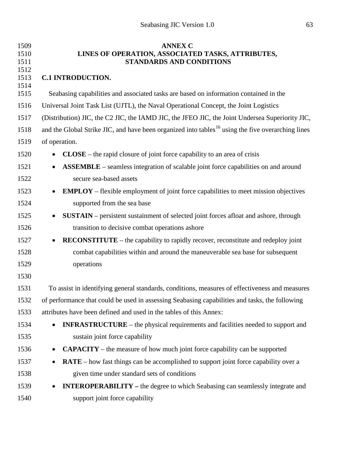<span id="page-62-0"></span>

| 1509<br>1510<br>1511 | <b>ANNEX C</b><br>LINES OF OPERATION, ASSOCIATED TASKS, ATTRIBUTES,<br><b>STANDARDS AND CONDITIONS</b>        |  |
|----------------------|---------------------------------------------------------------------------------------------------------------|--|
| 1512<br>1513<br>1514 | <b>C.1 INTRODUCTION.</b>                                                                                      |  |
| 1515                 | Seabasing capabilities and associated tasks are based on information contained in the                         |  |
| 1516                 | Universal Joint Task List (UJTL), the Naval Operational Concept, the Joint Logistics                          |  |
| 1517                 | (Distribution) JIC, the C2 JIC, the IAMD JIC, the JFEO JIC, the Joint Undersea Superiority JIC,               |  |
| 1518                 | and the Global Strike JIC, and have been organized into tables <sup>16</sup> using the five overarching lines |  |
| 1519                 | of operation.                                                                                                 |  |
| 1520                 | $CLOSE$ – the rapid closure of joint force capability to an area of crisis<br>$\bullet$                       |  |
| 1521                 | <b>ASSEMBLE</b> – seamless integration of scalable joint force capabilities on and around                     |  |
| 1522                 | secure sea-based assets                                                                                       |  |
| 1523                 | <b>EMPLOY</b> – flexible employment of joint force capabilities to meet mission objectives<br>$\bullet$       |  |
| 1524                 | supported from the sea base                                                                                   |  |
| 1525                 | <b>SUSTAIN</b> – persistent sustainment of selected joint forces afloat and ashore, through<br>$\bullet$      |  |
| 1526                 | transition to decisive combat operations ashore                                                               |  |
| 1527                 | <b>RECONSTITUTE</b> – the capability to rapidly recover, reconstitute and redeploy joint<br>$\bullet$         |  |
| 1528                 | combat capabilities within and around the maneuverable sea base for subsequent                                |  |
| 1529                 | operations                                                                                                    |  |
| 1530                 |                                                                                                               |  |
| 1531                 | To assist in identifying general standards, conditions, measures of effectiveness and measures                |  |
| 1532                 | of performance that could be used in assessing Seabasing capabilities and tasks, the following                |  |
| 1533                 | attributes have been defined and used in the tables of this Annex:                                            |  |
| 1534                 | <b>INFRASTRUCTURE</b> – the physical requirements and facilities needed to support and<br>$\bullet$           |  |
| 1535                 | sustain joint force capability                                                                                |  |
| 1536                 | <b>CAPACITY</b> – the measure of how much joint force capability can be supported                             |  |
| 1537                 | RATE - how fast things can be accomplished to support joint force capability over a<br>$\bullet$              |  |
| 1538                 | given time under standard sets of conditions                                                                  |  |
| 1539                 | <b>INTEROPERABILITY</b> – the degree to which Seabasing can seamlessly integrate and                          |  |
| 1540                 | support joint force capability                                                                                |  |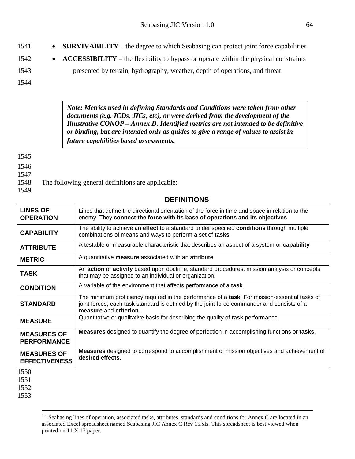- **1542 ACCESSIBILITY** the flexibility to bypass or operate within the physical constraints
- 1543 presented by terrain, hydrography, weather, depth of operations, and threat

*Note: Metrics used in defining Standards and Conditions were taken from other documents (e.g. ICDs, JICs, etc), or were derived from the development of the Illustrative CONOP – Annex D. Identified metrics are not intended to be definitive or binding, but are intended only as guides to give a range of values to assist in future capabilities based assessments.*

1545

1546

1547

- 1548 The following general definitions are applicable:
- 1549

### **DEFINITIONS**

| <b>LINES OF</b><br><b>OPERATION</b>        | Lines that define the directional orientation of the force in time and space in relation to the<br>enemy. They connect the force with its base of operations and its objectives.                                      |
|--------------------------------------------|-----------------------------------------------------------------------------------------------------------------------------------------------------------------------------------------------------------------------|
| <b>CAPABILITY</b>                          | The ability to achieve an effect to a standard under specified conditions through multiple<br>combinations of means and ways to perform a set of tasks.                                                               |
| <b>ATTRIBUTE</b>                           | A testable or measurable characteristic that describes an aspect of a system or capability                                                                                                                            |
| <b>METRIC</b>                              | A quantitative measure associated with an attribute.                                                                                                                                                                  |
| <b>TASK</b>                                | An action or activity based upon doctrine, standard procedures, mission analysis or concepts<br>that may be assigned to an individual or organization.                                                                |
| <b>CONDITION</b>                           | A variable of the environment that affects performance of a task.                                                                                                                                                     |
| <b>STANDARD</b>                            | The minimum proficiency required in the performance of a task. For mission-essential tasks of<br>joint forces, each task standard is defined by the joint force commander and consists of a<br>measure and criterion. |
| <b>MEASURE</b>                             | Quantitative or qualitative basis for describing the quality of task performance.                                                                                                                                     |
| <b>MEASURES OF</b><br><b>PERFORMANCE</b>   | <b>Measures</b> designed to quantify the degree of perfection in accomplishing functions or tasks.                                                                                                                    |
| <b>MEASURES OF</b><br><b>EFFECTIVENESS</b> | <b>Measures</b> designed to correspond to accomplishment of mission objectives and achievement of<br>desired effects.                                                                                                 |
| 1550<br>1551<br>1552                       |                                                                                                                                                                                                                       |

<sup>&</sup>lt;sup>16</sup> Seabasing lines of operation, associated tasks, attributes, standards and conditions for Annex C are located in an associated Excel spreadsheet named Seabasing JIC Annex C Rev 15.xls. This spreadsheet is best viewed when printed on 11 X 17 paper.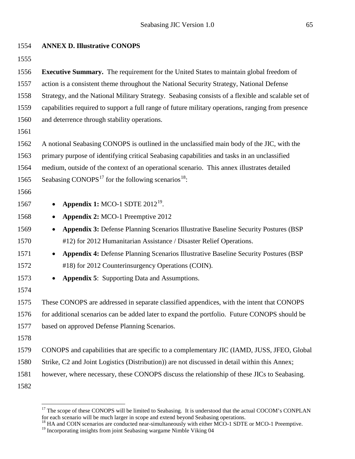| 1554 | <b>ANNEX D. Illustrative CONOPS</b>                                                                |
|------|----------------------------------------------------------------------------------------------------|
| 1555 |                                                                                                    |
| 1556 | <b>Executive Summary.</b> The requirement for the United States to maintain global freedom of      |
| 1557 | action is a consistent theme throughout the National Security Strategy, National Defense           |
| 1558 | Strategy, and the National Military Strategy. Seabasing consists of a flexible and scalable set of |
| 1559 | capabilities required to support a full range of future military operations, ranging from presence |
| 1560 | and deterrence through stability operations.                                                       |
| 1561 |                                                                                                    |
| 1562 | A notional Seabasing CONOPS is outlined in the unclassified main body of the JIC, with the         |
| 1563 | primary purpose of identifying critical Seabasing capabilities and tasks in an unclassified        |
| 1564 | medium, outside of the context of an operational scenario. This annex illustrates detailed         |
| 1565 | Seabasing CONOPS <sup>17</sup> for the following scenarios <sup>18</sup> :                         |
| 1566 |                                                                                                    |
| 1567 | Appendix 1: MCO-1 SDTE $2012^{19}$ .                                                               |
| 1568 | Appendix 2: MCO-1 Preemptive 2012<br>$\bullet$                                                     |
| 1569 | Appendix 3: Defense Planning Scenarios Illustrative Baseline Security Postures (BSP                |
| 1570 | #12) for 2012 Humanitarian Assistance / Disaster Relief Operations.                                |
| 1571 | <b>Appendix 4: Defense Planning Scenarios Illustrative Baseline Security Postures (BSP</b>         |
| 1572 | #18) for 2012 Counterinsurgency Operations (COIN).                                                 |
| 1573 | <b>Appendix 5:</b> Supporting Data and Assumptions.                                                |
| 1574 |                                                                                                    |
| 1575 | These CONOPS are addressed in separate classified appendices, with the intent that CONOPS          |
| 1576 | for additional scenarios can be added later to expand the portfolio. Future CONOPS should be       |
| 1577 | based on approved Defense Planning Scenarios.                                                      |
| 1578 |                                                                                                    |
| 1579 | CONOPS and capabilities that are specific to a complementary JIC (IAMD, JUSS, JFEO, Global         |
| 1580 | Strike, C2 and Joint Logistics (Distribution)) are not discussed in detail within this Annex;      |
| 1581 | however, where necessary, these CONOPS discuss the relationship of these JICs to Seabasing.        |
| 1582 |                                                                                                    |

<span id="page-64-0"></span><sup>&</sup>lt;sup>17</sup> The scope of these CONOPS will be limited to Seabasing. It is understood that the actual COCOM's CONPLAN

<span id="page-64-1"></span>for each scenario will be much larger in scope and extend beyond Seabasing operations.<br><sup>18</sup> HA and COIN scenarios are conducted near-simultaneously with either MCO-1 SDTE or MCO-1 Preemptive.

<span id="page-64-2"></span><sup>&</sup>lt;sup>19</sup> Incorporating insights from joint Seabasing wargame Nimble Viking 04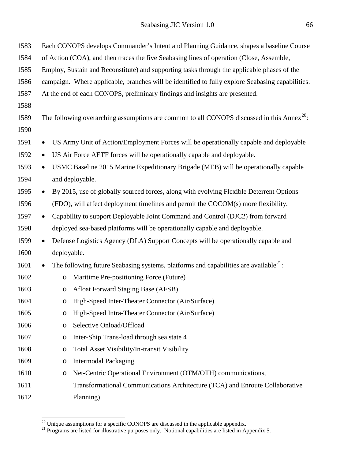| 1583 | Each CONOPS develops Commander's Intent and Planning Guidance, shapes a baseline Course                |
|------|--------------------------------------------------------------------------------------------------------|
| 1584 | of Action (COA), and then traces the five Seabasing lines of operation (Close, Assemble,               |
| 1585 | Employ, Sustain and Reconstitute) and supporting tasks through the applicable phases of the            |
| 1586 | campaign. Where applicable, branches will be identified to fully explore Seabasing capabilities.       |
| 1587 | At the end of each CONOPS, preliminary findings and insights are presented.                            |
| 1588 |                                                                                                        |
| 1589 | The following overarching assumptions are common to all CONOPS discussed in this Annex <sup>20</sup> : |
| 1590 |                                                                                                        |
| 1591 | US Army Unit of Action/Employment Forces will be operationally capable and deployable<br>$\bullet$     |
| 1592 | US Air Force AETF forces will be operationally capable and deployable.<br>$\bullet$                    |
| 1593 | USMC Baseline 2015 Marine Expeditionary Brigade (MEB) will be operationally capable<br>$\bullet$       |
| 1594 | and deployable.                                                                                        |
| 1595 | By 2015, use of globally sourced forces, along with evolving Flexible Deterrent Options<br>$\bullet$   |
| 1596 | (FDO), will affect deployment timelines and permit the COCOM(s) more flexibility.                      |
| 1597 | Capability to support Deployable Joint Command and Control (DJC2) from forward<br>$\bullet$            |
| 1598 | deployed sea-based platforms will be operationally capable and deployable.                             |
| 1599 | Defense Logistics Agency (DLA) Support Concepts will be operationally capable and<br>$\bullet$         |
| 1600 | deployable.                                                                                            |
| 1601 | The following future Seabasing systems, platforms and capabilities are available $21$ :<br>$\bullet$   |
| 1602 | Maritime Pre-positioning Force (Future)<br>$\circ$                                                     |
| 1603 | Afloat Forward Staging Base (AFSB)<br>$\circ$                                                          |
| 1604 | o High-Speed Inter-Theater Connector (Air/Surface)                                                     |
| 1605 | High-Speed Intra-Theater Connector (Air/Surface)<br>$\circ$                                            |
| 1606 | Selective Onload/Offload<br>O                                                                          |
| 1607 | Inter-Ship Trans-load through sea state 4<br>O                                                         |
| 1608 | Total Asset Visibility/In-transit Visibility<br>O                                                      |
| 1609 | <b>Intermodal Packaging</b><br>O                                                                       |
| 1610 | Net-Centric Operational Environment (OTM/OTH) communications,<br>O                                     |
| 1611 | Transformational Communications Architecture (TCA) and Enroute Collaborative                           |
| 1612 | Planning)                                                                                              |

<span id="page-65-1"></span><span id="page-65-0"></span><sup>&</sup>lt;sup>20</sup> Unique assumptions for a specific CONOPS are discussed in the applicable appendix.<br><sup>21</sup> Programs are listed for illustrative purposes only. Notional capabilities are listed in Appendix 5.